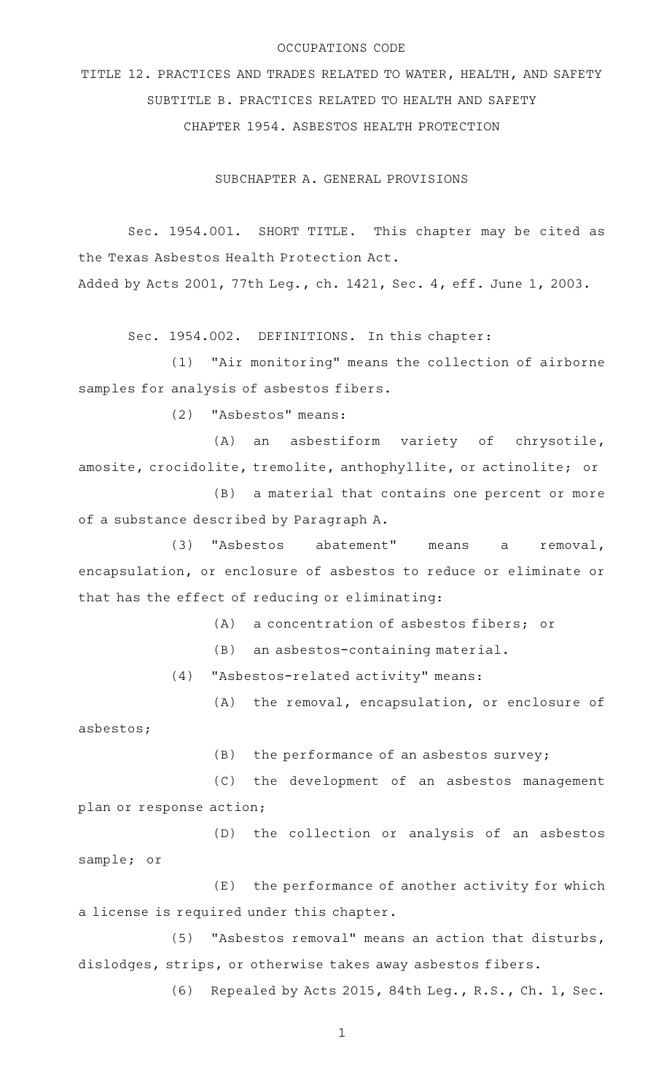#### OCCUPATIONS CODE

TITLE 12. PRACTICES AND TRADES RELATED TO WATER, HEALTH, AND SAFETY SUBTITLE B. PRACTICES RELATED TO HEALTH AND SAFETY CHAPTER 1954. ASBESTOS HEALTH PROTECTION

SUBCHAPTER A. GENERAL PROVISIONS

Sec. 1954.001. SHORT TITLE. This chapter may be cited as the Texas Asbestos Health Protection Act. Added by Acts 2001, 77th Leg., ch. 1421, Sec. 4, eff. June 1, 2003.

Sec. 1954.002. DEFINITIONS. In this chapter:

 $(1)$  "Air monitoring" means the collection of airborne samples for analysis of asbestos fibers.

(2) "Asbestos" means:

(A) an asbestiform variety of chrysotile, amosite, crocidolite, tremolite, anthophyllite, or actinolite; or

(B) a material that contains one percent or more of a substance described by Paragraph A.

(3) "Asbestos abatement" means a removal, encapsulation, or enclosure of asbestos to reduce or eliminate or that has the effect of reducing or eliminating:

 $(A)$  a concentration of asbestos fibers; or

 $(B)$  an asbestos-containing material.

(4) "Asbestos-related activity" means:

(A) the removal, encapsulation, or enclosure of asbestos;

 $(B)$  the performance of an asbestos survey;

(C) the development of an asbestos management plan or response action;

(D) the collection or analysis of an asbestos sample; or

(E) the performance of another activity for which a license is required under this chapter.

(5) "Asbestos removal" means an action that disturbs, dislodges, strips, or otherwise takes away asbestos fibers.

(6) Repealed by Acts 2015, 84th Leg., R.S., Ch. 1, Sec.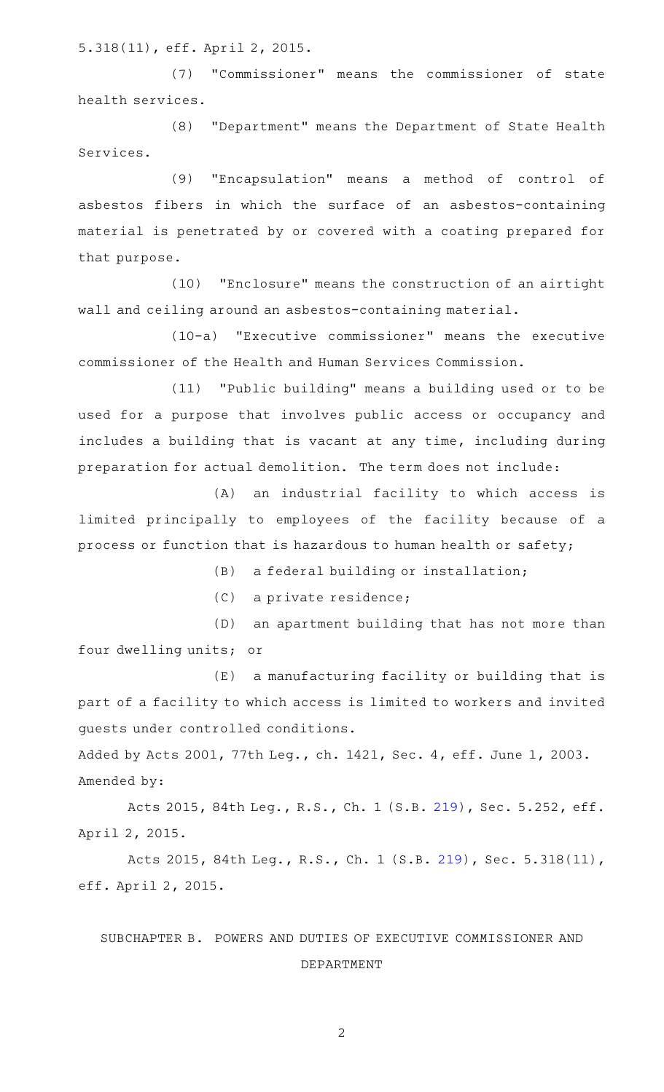5.318(11), eff. April 2, 2015.

(7) "Commissioner" means the commissioner of state health services.

(8) "Department" means the Department of State Health Services.

(9) "Encapsulation" means a method of control of asbestos fibers in which the surface of an asbestos-containing material is penetrated by or covered with a coating prepared for that purpose.

(10) "Enclosure" means the construction of an airtight wall and ceiling around an asbestos-containing material.

(10-a) "Executive commissioner" means the executive commissioner of the Health and Human Services Commission.

(11) "Public building" means a building used or to be used for a purpose that involves public access or occupancy and includes a building that is vacant at any time, including during preparation for actual demolition. The term does not include:

(A) an industrial facility to which access is limited principally to employees of the facility because of a process or function that is hazardous to human health or safety;

(B) a federal building or installation;

(C) a private residence;

(D) an apartment building that has not more than four dwelling units; or

(E) a manufacturing facility or building that is part of a facility to which access is limited to workers and invited guests under controlled conditions.

Added by Acts 2001, 77th Leg., ch. 1421, Sec. 4, eff. June 1, 2003. Amended by:

Acts 2015, 84th Leg., R.S., Ch. 1 (S.B. [219](http://www.legis.state.tx.us/tlodocs/84R/billtext/html/SB00219F.HTM)), Sec. 5.252, eff. April 2, 2015.

Acts 2015, 84th Leg., R.S., Ch. 1 (S.B. [219](http://www.legis.state.tx.us/tlodocs/84R/billtext/html/SB00219F.HTM)), Sec. 5.318(11), eff. April 2, 2015.

# SUBCHAPTER B. POWERS AND DUTIES OF EXECUTIVE COMMISSIONER AND DEPARTMENT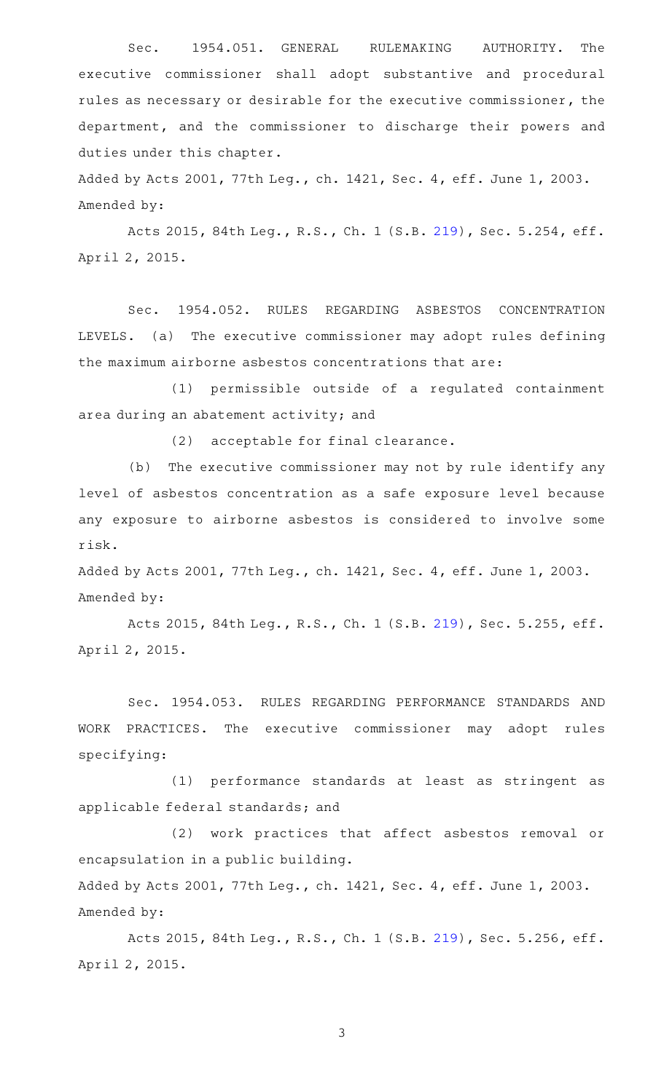Sec. 1954.051. GENERAL RULEMAKING AUTHORITY. The executive commissioner shall adopt substantive and procedural rules as necessary or desirable for the executive commissioner, the department, and the commissioner to discharge their powers and duties under this chapter.

Added by Acts 2001, 77th Leg., ch. 1421, Sec. 4, eff. June 1, 2003. Amended by:

Acts 2015, 84th Leg., R.S., Ch. 1 (S.B. [219](http://www.legis.state.tx.us/tlodocs/84R/billtext/html/SB00219F.HTM)), Sec. 5.254, eff. April 2, 2015.

Sec. 1954.052. RULES REGARDING ASBESTOS CONCENTRATION LEVELS. (a) The executive commissioner may adopt rules defining the maximum airborne asbestos concentrations that are:

(1) permissible outside of a regulated containment area during an abatement activity; and

(2) acceptable for final clearance.

(b) The executive commissioner may not by rule identify any level of asbestos concentration as a safe exposure level because any exposure to airborne asbestos is considered to involve some risk.

Added by Acts 2001, 77th Leg., ch. 1421, Sec. 4, eff. June 1, 2003. Amended by:

Acts 2015, 84th Leg., R.S., Ch. 1 (S.B. [219](http://www.legis.state.tx.us/tlodocs/84R/billtext/html/SB00219F.HTM)), Sec. 5.255, eff. April 2, 2015.

Sec. 1954.053. RULES REGARDING PERFORMANCE STANDARDS AND WORK PRACTICES. The executive commissioner may adopt rules specifying:

(1) performance standards at least as stringent as applicable federal standards; and

(2) work practices that affect asbestos removal or encapsulation in a public building.

Added by Acts 2001, 77th Leg., ch. 1421, Sec. 4, eff. June 1, 2003. Amended by:

Acts 2015, 84th Leg., R.S., Ch. 1 (S.B. [219](http://www.legis.state.tx.us/tlodocs/84R/billtext/html/SB00219F.HTM)), Sec. 5.256, eff. April 2, 2015.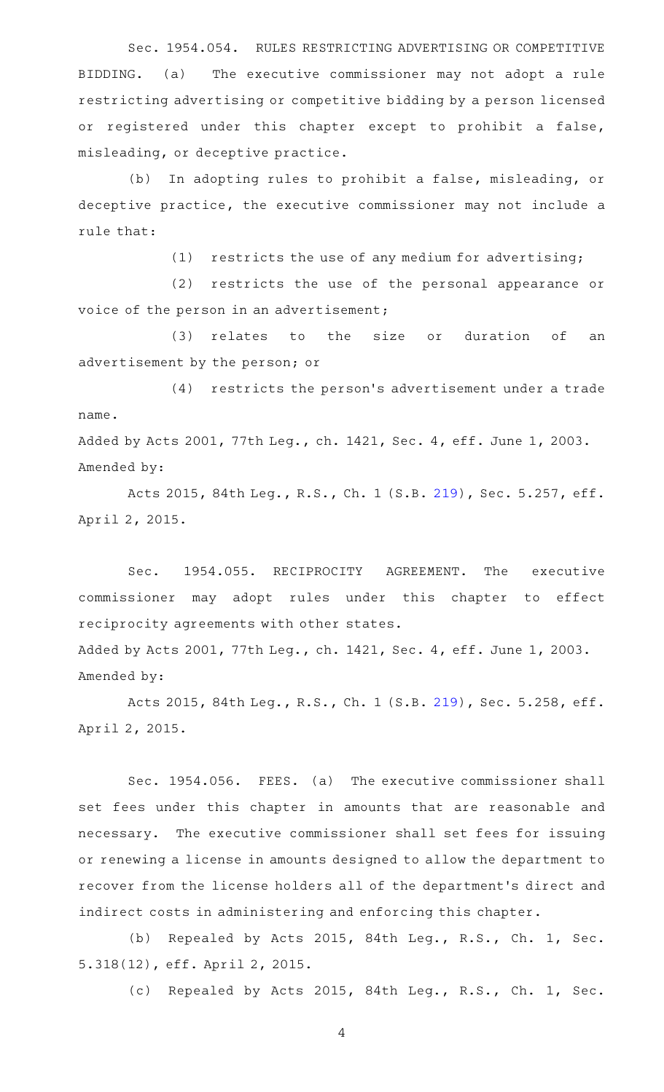Sec. 1954.054. RULES RESTRICTING ADVERTISING OR COMPETITIVE BIDDING. (a) The executive commissioner may not adopt a rule restricting advertising or competitive bidding by a person licensed or registered under this chapter except to prohibit a false, misleading, or deceptive practice.

(b) In adopting rules to prohibit a false, misleading, or deceptive practice, the executive commissioner may not include a rule that:

 $(1)$  restricts the use of any medium for advertising;

(2) restricts the use of the personal appearance or voice of the person in an advertisement;

(3) relates to the size or duration of an advertisement by the person; or

(4) restricts the person's advertisement under a trade name. Added by Acts 2001, 77th Leg., ch. 1421, Sec. 4, eff. June 1, 2003.

Amended by:

Acts 2015, 84th Leg., R.S., Ch. 1 (S.B. [219](http://www.legis.state.tx.us/tlodocs/84R/billtext/html/SB00219F.HTM)), Sec. 5.257, eff. April 2, 2015.

Sec. 1954.055. RECIPROCITY AGREEMENT. The executive commissioner may adopt rules under this chapter to effect reciprocity agreements with other states. Added by Acts 2001, 77th Leg., ch. 1421, Sec. 4, eff. June 1, 2003.

Amended by:

Acts 2015, 84th Leg., R.S., Ch. 1 (S.B. [219](http://www.legis.state.tx.us/tlodocs/84R/billtext/html/SB00219F.HTM)), Sec. 5.258, eff. April 2, 2015.

Sec. 1954.056. FEES. (a) The executive commissioner shall set fees under this chapter in amounts that are reasonable and necessary. The executive commissioner shall set fees for issuing or renewing a license in amounts designed to allow the department to recover from the license holders all of the department 's direct and indirect costs in administering and enforcing this chapter.

(b) Repealed by Acts 2015, 84th Leg., R.S., Ch. 1, Sec. 5.318(12), eff. April 2, 2015.

(c) Repealed by Acts 2015, 84th Leg., R.S., Ch. 1, Sec.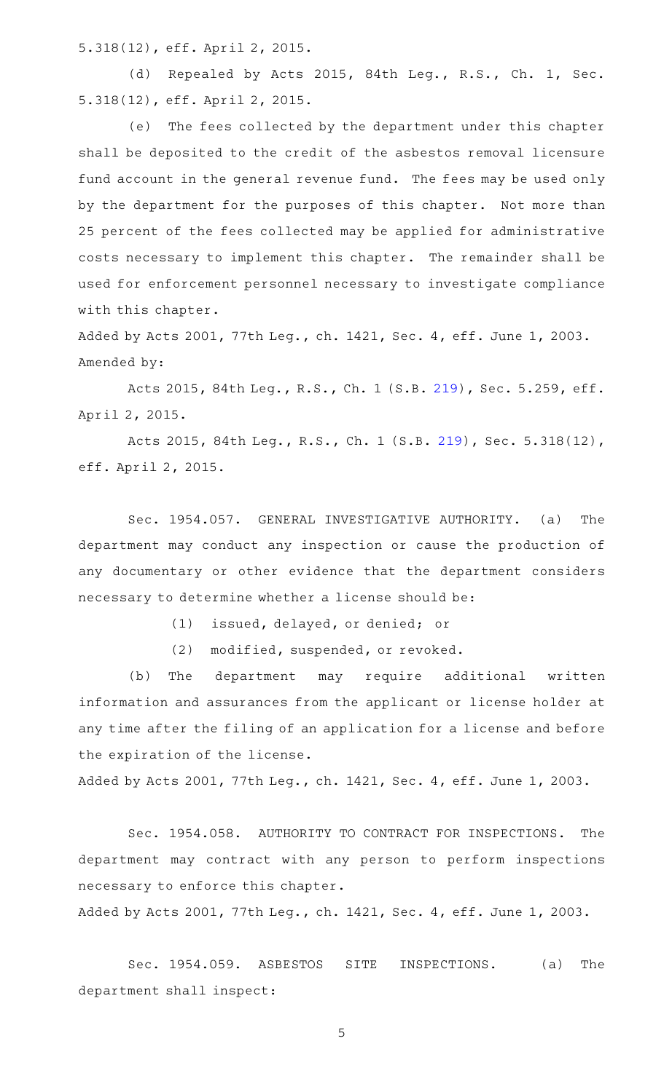5.318(12), eff. April 2, 2015.

(d) Repealed by Acts 2015, 84th Leg., R.S., Ch. 1, Sec. 5.318(12), eff. April 2, 2015.

(e) The fees collected by the department under this chapter shall be deposited to the credit of the asbestos removal licensure fund account in the general revenue fund. The fees may be used only by the department for the purposes of this chapter. Not more than 25 percent of the fees collected may be applied for administrative costs necessary to implement this chapter. The remainder shall be used for enforcement personnel necessary to investigate compliance with this chapter.

Added by Acts 2001, 77th Leg., ch. 1421, Sec. 4, eff. June 1, 2003. Amended by:

Acts 2015, 84th Leg., R.S., Ch. 1 (S.B. [219](http://www.legis.state.tx.us/tlodocs/84R/billtext/html/SB00219F.HTM)), Sec. 5.259, eff. April 2, 2015.

Acts 2015, 84th Leg., R.S., Ch. 1 (S.B. [219](http://www.legis.state.tx.us/tlodocs/84R/billtext/html/SB00219F.HTM)), Sec. 5.318(12), eff. April 2, 2015.

Sec. 1954.057. GENERAL INVESTIGATIVE AUTHORITY. (a) The department may conduct any inspection or cause the production of any documentary or other evidence that the department considers necessary to determine whether a license should be:

(1) issued, delayed, or denied; or

(2) modified, suspended, or revoked.

(b) The department may require additional written information and assurances from the applicant or license holder at any time after the filing of an application for a license and before the expiration of the license.

Added by Acts 2001, 77th Leg., ch. 1421, Sec. 4, eff. June 1, 2003.

Sec. 1954.058. AUTHORITY TO CONTRACT FOR INSPECTIONS. The department may contract with any person to perform inspections necessary to enforce this chapter.

Added by Acts 2001, 77th Leg., ch. 1421, Sec. 4, eff. June 1, 2003.

Sec. 1954.059. ASBESTOS SITE INSPECTIONS. (a) The department shall inspect: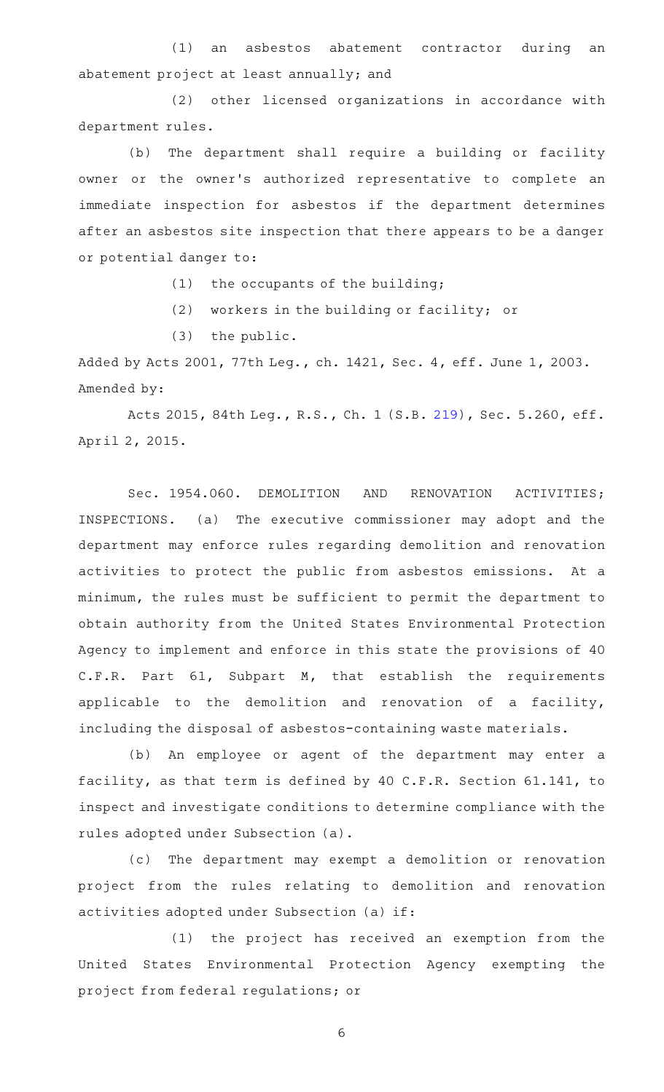(1) an asbestos abatement contractor during an abatement project at least annually; and

(2) other licensed organizations in accordance with department rules.

(b) The department shall require a building or facility owner or the owner 's authorized representative to complete an immediate inspection for asbestos if the department determines after an asbestos site inspection that there appears to be a danger or potential danger to:

 $(1)$  the occupants of the building;

(2) workers in the building or facility; or

 $(3)$  the public.

Added by Acts 2001, 77th Leg., ch. 1421, Sec. 4, eff. June 1, 2003. Amended by:

Acts 2015, 84th Leg., R.S., Ch. 1 (S.B. [219](http://www.legis.state.tx.us/tlodocs/84R/billtext/html/SB00219F.HTM)), Sec. 5.260, eff. April 2, 2015.

Sec. 1954.060. DEMOLITION AND RENOVATION ACTIVITIES; INSPECTIONS. (a) The executive commissioner may adopt and the department may enforce rules regarding demolition and renovation activities to protect the public from asbestos emissions. At a minimum, the rules must be sufficient to permit the department to obtain authority from the United States Environmental Protection Agency to implement and enforce in this state the provisions of 40 C.F.R. Part 61, Subpart M, that establish the requirements applicable to the demolition and renovation of a facility, including the disposal of asbestos-containing waste materials.

(b) An employee or agent of the department may enter a facility, as that term is defined by 40 C.F.R. Section 61.141, to inspect and investigate conditions to determine compliance with the rules adopted under Subsection (a).

(c) The department may exempt a demolition or renovation project from the rules relating to demolition and renovation activities adopted under Subsection (a) if:

(1) the project has received an exemption from the United States Environmental Protection Agency exempting the project from federal regulations; or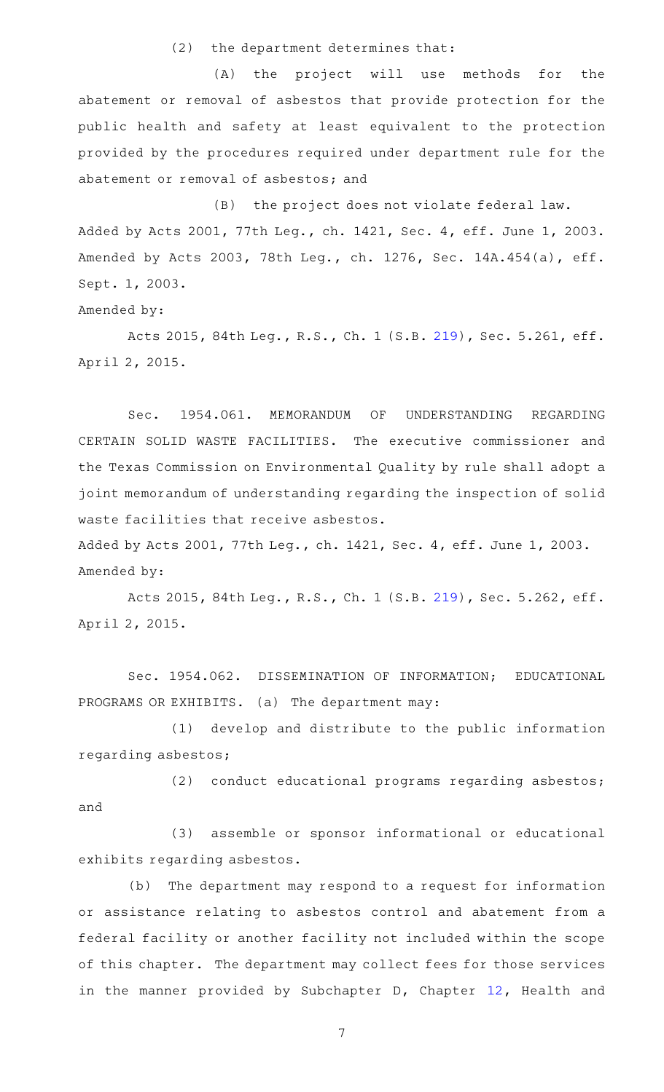$(2)$  the department determines that:

(A) the project will use methods for the abatement or removal of asbestos that provide protection for the public health and safety at least equivalent to the protection provided by the procedures required under department rule for the abatement or removal of asbestos; and

(B) the project does not violate federal law. Added by Acts 2001, 77th Leg., ch. 1421, Sec. 4, eff. June 1, 2003. Amended by Acts 2003, 78th Leg., ch. 1276, Sec. 14A.454(a), eff. Sept. 1, 2003.

Amended by:

Acts 2015, 84th Leg., R.S., Ch. 1 (S.B. [219](http://www.legis.state.tx.us/tlodocs/84R/billtext/html/SB00219F.HTM)), Sec. 5.261, eff. April 2, 2015.

Sec. 1954.061. MEMORANDUM OF UNDERSTANDING REGARDING CERTAIN SOLID WASTE FACILITIES. The executive commissioner and the Texas Commission on Environmental Quality by rule shall adopt a joint memorandum of understanding regarding the inspection of solid waste facilities that receive asbestos.

Added by Acts 2001, 77th Leg., ch. 1421, Sec. 4, eff. June 1, 2003. Amended by:

Acts 2015, 84th Leg., R.S., Ch. 1 (S.B. [219](http://www.legis.state.tx.us/tlodocs/84R/billtext/html/SB00219F.HTM)), Sec. 5.262, eff. April 2, 2015.

Sec. 1954.062. DISSEMINATION OF INFORMATION; EDUCATIONAL PROGRAMS OR EXHIBITS. (a) The department may:

(1) develop and distribute to the public information regarding asbestos;

(2) conduct educational programs regarding asbestos; and

(3) assemble or sponsor informational or educational exhibits regarding asbestos.

(b) The department may respond to a request for information or assistance relating to asbestos control and abatement from a federal facility or another facility not included within the scope of this chapter. The department may collect fees for those services in the manner provided by Subchapter D, Chapter [12,](http://www.statutes.legis.state.tx.us/GetStatute.aspx?Code=HS&Value=12) Health and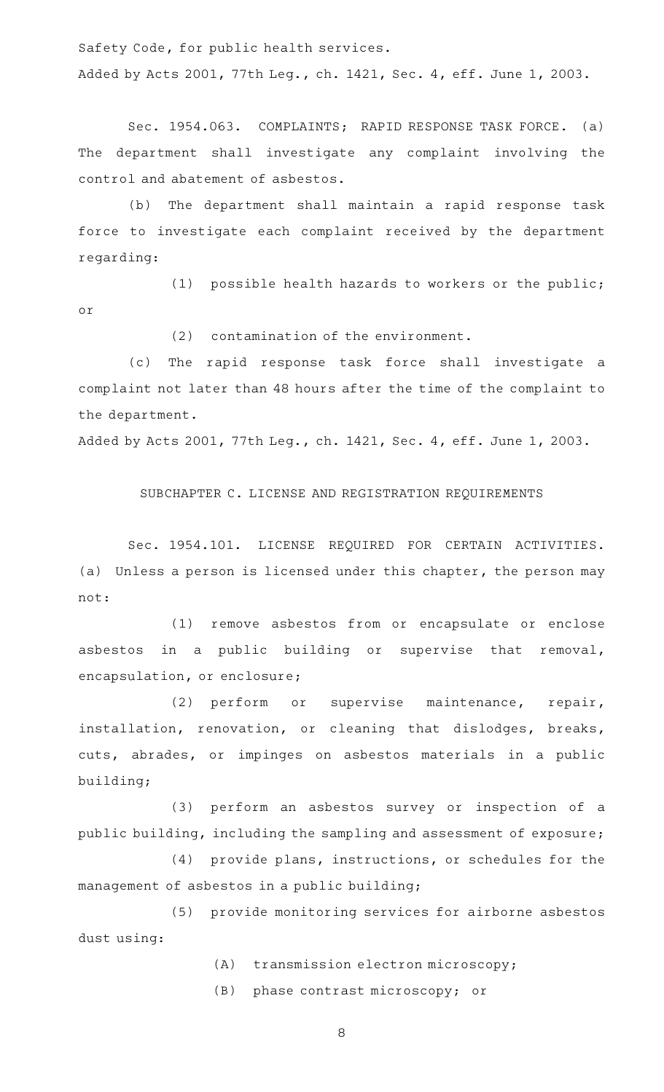Safety Code, for public health services.

Added by Acts 2001, 77th Leg., ch. 1421, Sec. 4, eff. June 1, 2003.

Sec. 1954.063. COMPLAINTS; RAPID RESPONSE TASK FORCE. (a) The department shall investigate any complaint involving the control and abatement of asbestos.

(b) The department shall maintain a rapid response task force to investigate each complaint received by the department regarding:

(1) possible health hazards to workers or the public; or

 $(2)$  contamination of the environment.

(c) The rapid response task force shall investigate a complaint not later than 48 hours after the time of the complaint to the department.

Added by Acts 2001, 77th Leg., ch. 1421, Sec. 4, eff. June 1, 2003.

SUBCHAPTER C. LICENSE AND REGISTRATION REQUIREMENTS

Sec. 1954.101. LICENSE REQUIRED FOR CERTAIN ACTIVITIES. (a) Unless a person is licensed under this chapter, the person may not:

(1) remove asbestos from or encapsulate or enclose asbestos in a public building or supervise that removal, encapsulation, or enclosure;

(2) perform or supervise maintenance, repair, installation, renovation, or cleaning that dislodges, breaks, cuts, abrades, or impinges on asbestos materials in a public building;

(3) perform an asbestos survey or inspection of a public building, including the sampling and assessment of exposure;

(4) provide plans, instructions, or schedules for the management of asbestos in a public building;

(5) provide monitoring services for airborne asbestos dust using:

(A) transmission electron microscopy;

(B) phase contrast microscopy; or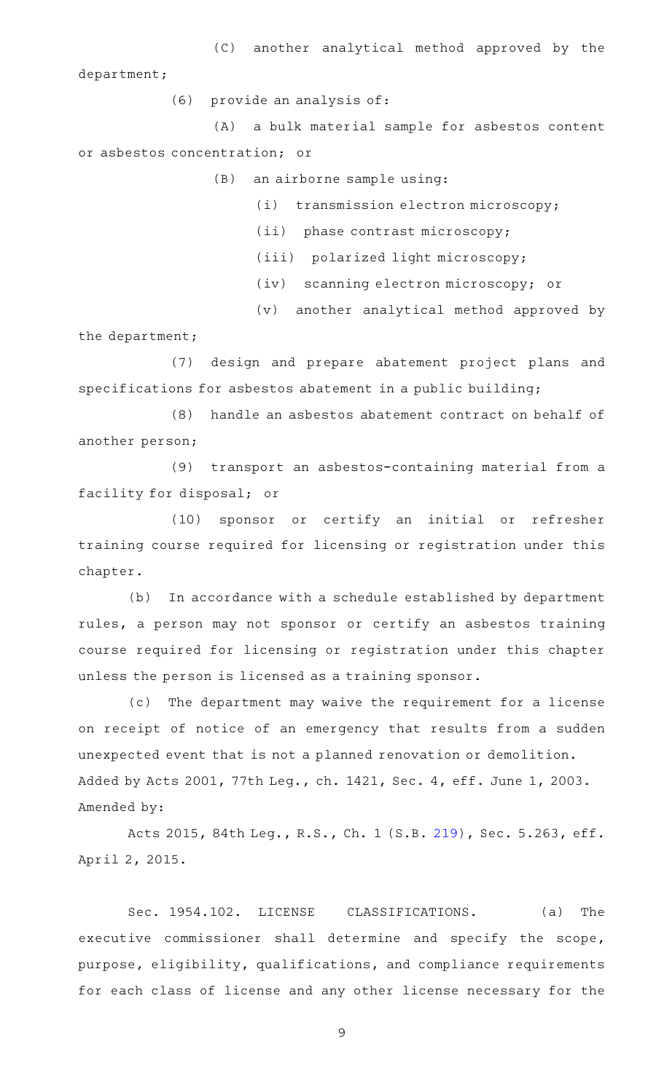(C) another analytical method approved by the department;

(6) provide an analysis of:

(A) a bulk material sample for asbestos content or asbestos concentration; or

 $(B)$  an airborne sample using:

(i) transmission electron microscopy;

(ii) phase contrast microscopy;

(iii) polarized light microscopy;

(iv) scanning electron microscopy; or

(v) another analytical method approved by

the department;

(7) design and prepare abatement project plans and specifications for asbestos abatement in a public building;

(8) handle an asbestos abatement contract on behalf of another person;

(9) transport an asbestos-containing material from a facility for disposal; or

(10) sponsor or certify an initial or refresher training course required for licensing or registration under this chapter.

(b) In accordance with a schedule established by department rules, a person may not sponsor or certify an asbestos training course required for licensing or registration under this chapter unless the person is licensed as a training sponsor.

(c) The department may waive the requirement for a license on receipt of notice of an emergency that results from a sudden unexpected event that is not a planned renovation or demolition. Added by Acts 2001, 77th Leg., ch. 1421, Sec. 4, eff. June 1, 2003. Amended by:

Acts 2015, 84th Leg., R.S., Ch. 1 (S.B. [219](http://www.legis.state.tx.us/tlodocs/84R/billtext/html/SB00219F.HTM)), Sec. 5.263, eff. April 2, 2015.

Sec. 1954.102. LICENSE CLASSIFICATIONS. (a) The executive commissioner shall determine and specify the scope, purpose, eligibility, qualifications, and compliance requirements for each class of license and any other license necessary for the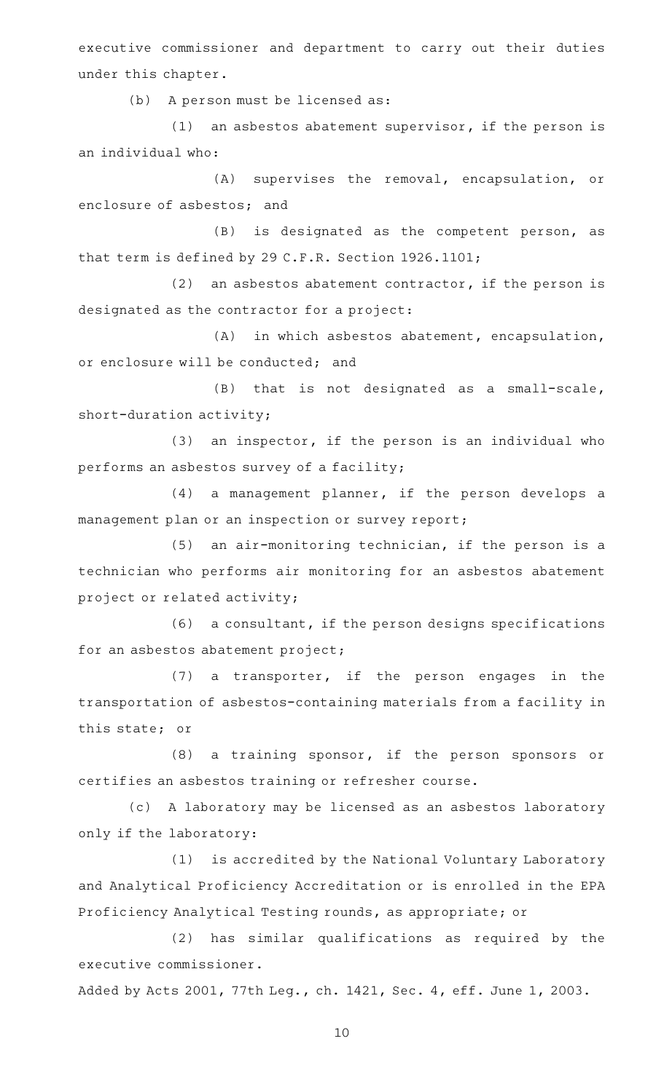executive commissioner and department to carry out their duties under this chapter.

(b) A person must be licensed as:

 $(1)$  an asbestos abatement supervisor, if the person is an individual who:

 $(A)$  supervises the removal, encapsulation, or enclosure of asbestos; and

(B) is designated as the competent person, as that term is defined by 29 C.F.R. Section 1926.1101;

(2) an asbestos abatement contractor, if the person is designated as the contractor for a project:

 $(A)$  in which asbestos abatement, encapsulation, or enclosure will be conducted; and

 $(B)$  that is not designated as a small-scale, short-duration activity;

 $(3)$  an inspector, if the person is an individual who performs an asbestos survey of a facility;

 $(4)$  a management planner, if the person develops a management plan or an inspection or survey report;

 $(5)$  an air-monitoring technician, if the person is a technician who performs air monitoring for an asbestos abatement project or related activity;

 $(6)$  a consultant, if the person designs specifications for an asbestos abatement project;

 $(7)$  a transporter, if the person engages in the transportation of asbestos-containing materials from a facility in this state; or

 $(8)$  a training sponsor, if the person sponsors or certifies an asbestos training or refresher course.

(c) A laboratory may be licensed as an asbestos laboratory only if the laboratory:

(1) is accredited by the National Voluntary Laboratory and Analytical Proficiency Accreditation or is enrolled in the EPA Proficiency Analytical Testing rounds, as appropriate; or

(2) has similar qualifications as required by the executive commissioner.

Added by Acts 2001, 77th Leg., ch. 1421, Sec. 4, eff. June 1, 2003.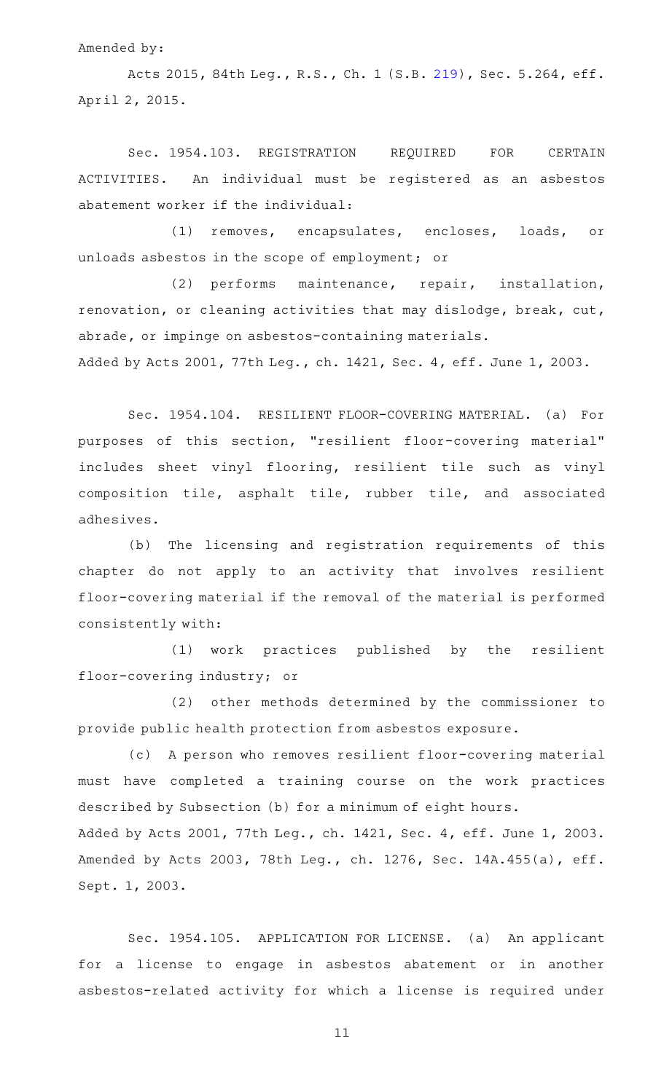Amended by:

Acts 2015, 84th Leg., R.S., Ch. 1 (S.B. [219](http://www.legis.state.tx.us/tlodocs/84R/billtext/html/SB00219F.HTM)), Sec. 5.264, eff. April 2, 2015.

Sec. 1954.103. REGISTRATION REQUIRED FOR CERTAIN ACTIVITIES. An individual must be registered as an asbestos abatement worker if the individual:

(1) removes, encapsulates, encloses, loads, or unloads asbestos in the scope of employment; or

(2) performs maintenance, repair, installation, renovation, or cleaning activities that may dislodge, break, cut, abrade, or impinge on asbestos-containing materials.

Added by Acts 2001, 77th Leg., ch. 1421, Sec. 4, eff. June 1, 2003.

Sec. 1954.104. RESILIENT FLOOR-COVERING MATERIAL. (a) For purposes of this section, "resilient floor-covering material" includes sheet vinyl flooring, resilient tile such as vinyl composition tile, asphalt tile, rubber tile, and associated adhesives.

(b) The licensing and registration requirements of this chapter do not apply to an activity that involves resilient floor-covering material if the removal of the material is performed consistently with:

(1) work practices published by the resilient floor-covering industry; or

(2) other methods determined by the commissioner to provide public health protection from asbestos exposure.

(c) A person who removes resilient floor-covering material must have completed a training course on the work practices described by Subsection (b) for a minimum of eight hours. Added by Acts 2001, 77th Leg., ch. 1421, Sec. 4, eff. June 1, 2003. Amended by Acts 2003, 78th Leg., ch. 1276, Sec. 14A.455(a), eff.

Sept. 1, 2003.

Sec. 1954.105. APPLICATION FOR LICENSE. (a) An applicant for a license to engage in asbestos abatement or in another asbestos-related activity for which a license is required under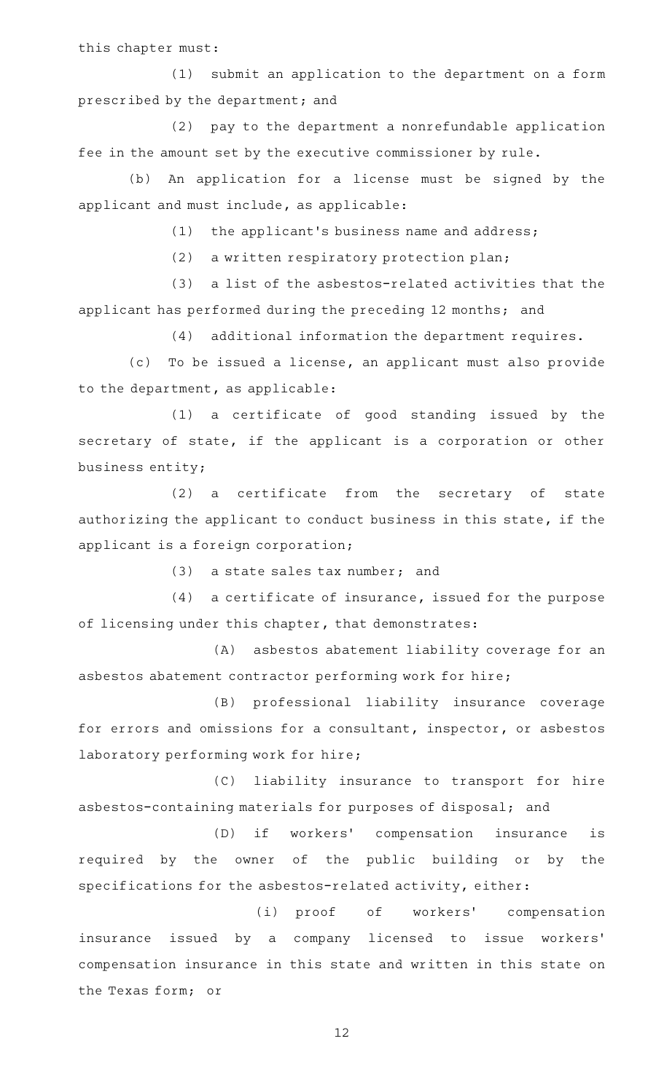this chapter must:

(1) submit an application to the department on a form prescribed by the department; and

(2) pay to the department a nonrefundable application fee in the amount set by the executive commissioner by rule.

(b) An application for a license must be signed by the applicant and must include, as applicable:

 $(1)$  the applicant's business name and address;

(2) a written respiratory protection plan;

(3) a list of the asbestos-related activities that the applicant has performed during the preceding 12 months; and

(4) additional information the department requires.

(c) To be issued a license, an applicant must also provide to the department, as applicable:

(1) a certificate of good standing issued by the secretary of state, if the applicant is a corporation or other business entity;

(2) a certificate from the secretary of state authorizing the applicant to conduct business in this state, if the applicant is a foreign corporation;

 $(3)$  a state sales tax number; and

 $(4)$  a certificate of insurance, issued for the purpose of licensing under this chapter, that demonstrates:

(A) asbestos abatement liability coverage for an asbestos abatement contractor performing work for hire;

(B) professional liability insurance coverage for errors and omissions for a consultant, inspector, or asbestos laboratory performing work for hire;

(C) liability insurance to transport for hire asbestos-containing materials for purposes of disposal; and

(D) if workers' compensation insurance is required by the owner of the public building or by the specifications for the asbestos-related activity, either:

(i) proof of workers' compensation insurance issued by a company licensed to issue workers' compensation insurance in this state and written in this state on the Texas form; or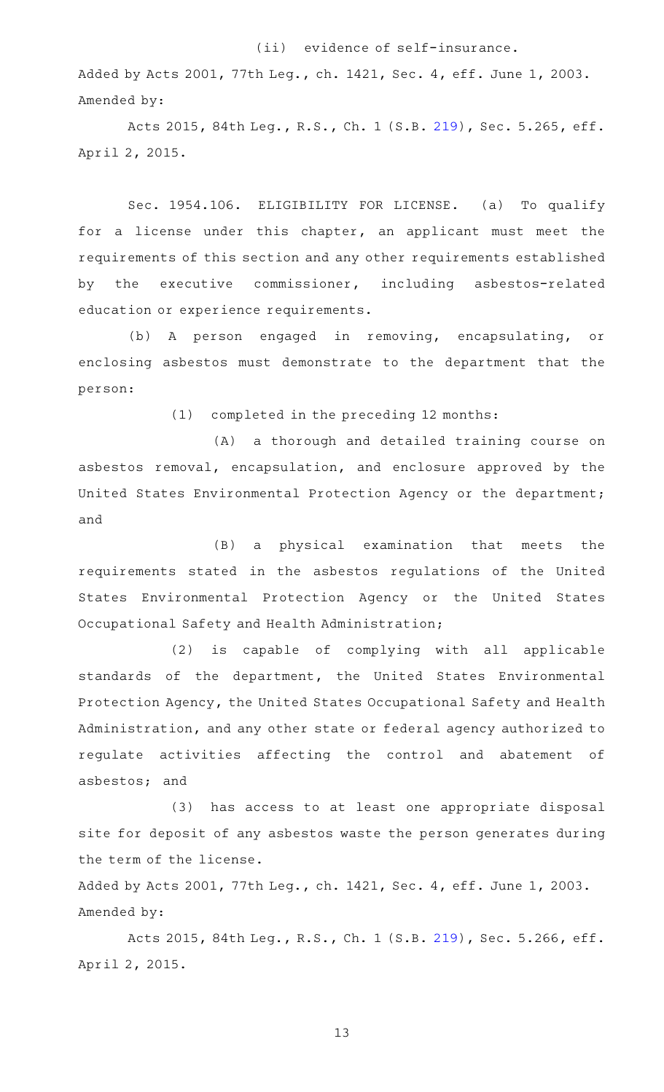## (ii) evidence of self-insurance.

Added by Acts 2001, 77th Leg., ch. 1421, Sec. 4, eff. June 1, 2003. Amended by:

Acts 2015, 84th Leg., R.S., Ch. 1 (S.B. [219](http://www.legis.state.tx.us/tlodocs/84R/billtext/html/SB00219F.HTM)), Sec. 5.265, eff. April 2, 2015.

Sec. 1954.106. ELIGIBILITY FOR LICENSE. (a) To qualify for a license under this chapter, an applicant must meet the requirements of this section and any other requirements established by the executive commissioner, including asbestos-related education or experience requirements.

(b) A person engaged in removing, encapsulating, or enclosing asbestos must demonstrate to the department that the person:

(1) completed in the preceding 12 months:

(A) a thorough and detailed training course on asbestos removal, encapsulation, and enclosure approved by the United States Environmental Protection Agency or the department; and

(B) a physical examination that meets the requirements stated in the asbestos regulations of the United States Environmental Protection Agency or the United States Occupational Safety and Health Administration;

(2) is capable of complying with all applicable standards of the department, the United States Environmental Protection Agency, the United States Occupational Safety and Health Administration, and any other state or federal agency authorized to regulate activities affecting the control and abatement of asbestos; and

(3) has access to at least one appropriate disposal site for deposit of any asbestos waste the person generates during the term of the license.

Added by Acts 2001, 77th Leg., ch. 1421, Sec. 4, eff. June 1, 2003. Amended by:

Acts 2015, 84th Leg., R.S., Ch. 1 (S.B. [219](http://www.legis.state.tx.us/tlodocs/84R/billtext/html/SB00219F.HTM)), Sec. 5.266, eff. April 2, 2015.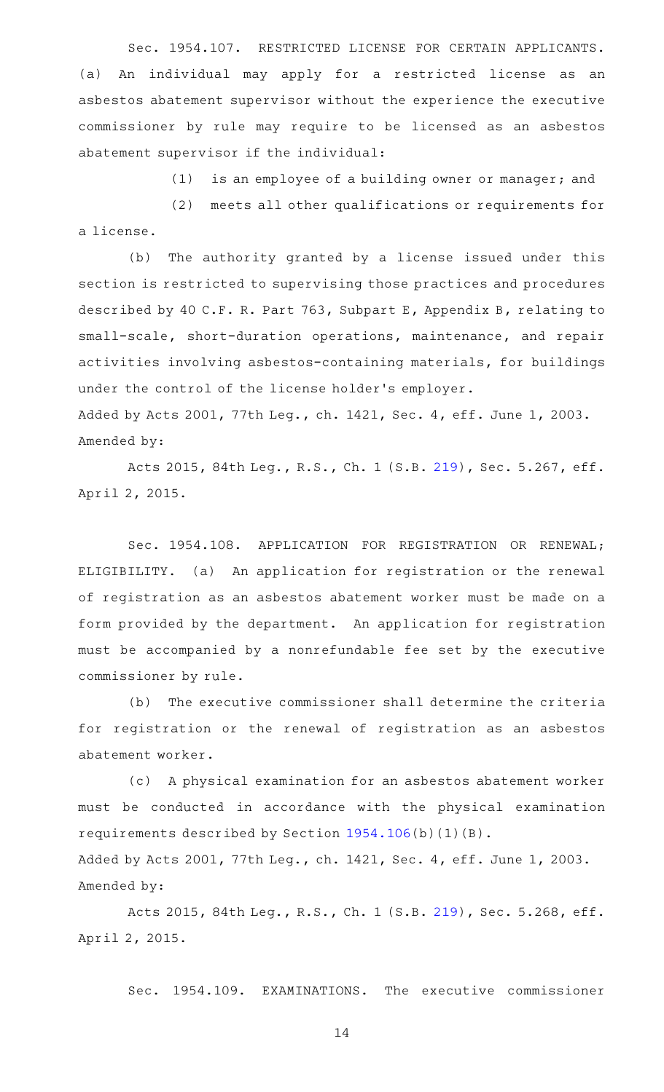Sec. 1954.107. RESTRICTED LICENSE FOR CERTAIN APPLICANTS. (a) An individual may apply for a restricted license as an asbestos abatement supervisor without the experience the executive commissioner by rule may require to be licensed as an asbestos abatement supervisor if the individual:

 $(1)$  is an employee of a building owner or manager; and

(2) meets all other qualifications or requirements for a license.

(b) The authority granted by a license issued under this section is restricted to supervising those practices and procedures described by 40 C.F. R. Part 763, Subpart E, Appendix B, relating to small-scale, short-duration operations, maintenance, and repair activities involving asbestos-containing materials, for buildings under the control of the license holder 's employer. Added by Acts 2001, 77th Leg., ch. 1421, Sec. 4, eff. June 1, 2003.

Amended by:

Acts 2015, 84th Leg., R.S., Ch. 1 (S.B. [219](http://www.legis.state.tx.us/tlodocs/84R/billtext/html/SB00219F.HTM)), Sec. 5.267, eff. April 2, 2015.

Sec. 1954.108. APPLICATION FOR REGISTRATION OR RENEWAL; ELIGIBILITY. (a) An application for registration or the renewal of registration as an asbestos abatement worker must be made on a form provided by the department. An application for registration must be accompanied by a nonrefundable fee set by the executive commissioner by rule.

(b) The executive commissioner shall determine the criteria for registration or the renewal of registration as an asbestos abatement worker.

(c) A physical examination for an asbestos abatement worker must be conducted in accordance with the physical examination requirements described by Section [1954.106\(](http://www.statutes.legis.state.tx.us/GetStatute.aspx?Code=OC&Value=1954.106)b)(1)(B). Added by Acts 2001, 77th Leg., ch. 1421, Sec. 4, eff. June 1, 2003.

Amended by:

Acts 2015, 84th Leg., R.S., Ch. 1 (S.B. [219](http://www.legis.state.tx.us/tlodocs/84R/billtext/html/SB00219F.HTM)), Sec. 5.268, eff. April 2, 2015.

Sec. 1954.109. EXAMINATIONS. The executive commissioner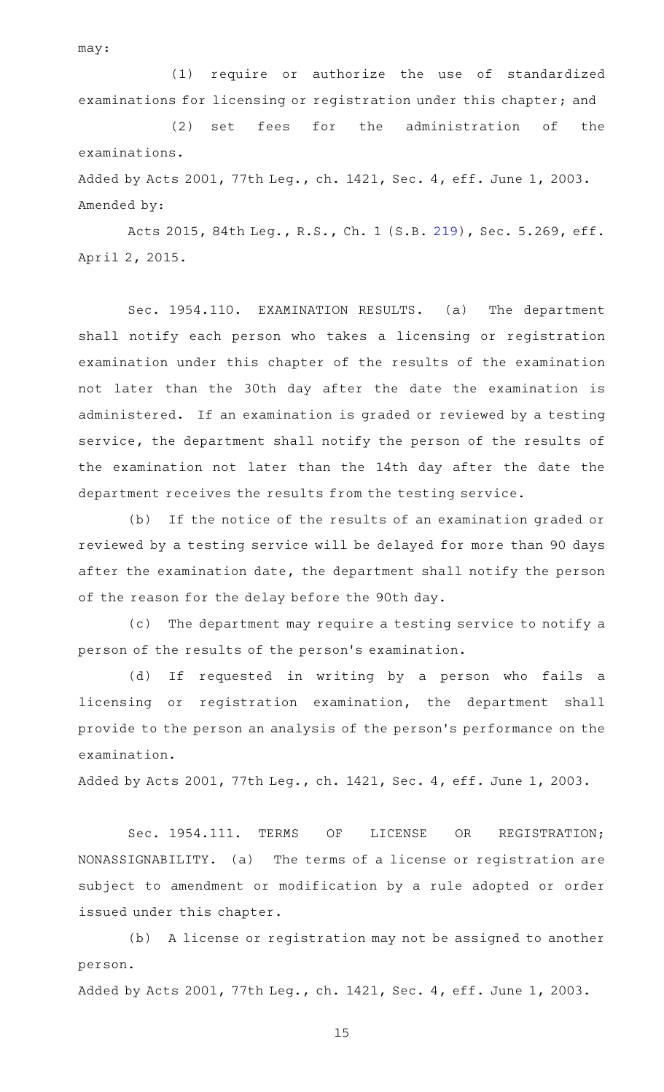may:

(1) require or authorize the use of standardized examinations for licensing or registration under this chapter; and

(2) set fees for the administration of the examinations.

Added by Acts 2001, 77th Leg., ch. 1421, Sec. 4, eff. June 1, 2003. Amended by:

Acts 2015, 84th Leg., R.S., Ch. 1 (S.B. [219](http://www.legis.state.tx.us/tlodocs/84R/billtext/html/SB00219F.HTM)), Sec. 5.269, eff. April 2, 2015.

Sec. 1954.110. EXAMINATION RESULTS. (a) The department shall notify each person who takes a licensing or registration examination under this chapter of the results of the examination not later than the 30th day after the date the examination is administered. If an examination is graded or reviewed by a testing service, the department shall notify the person of the results of the examination not later than the 14th day after the date the department receives the results from the testing service.

(b) If the notice of the results of an examination graded or reviewed by a testing service will be delayed for more than 90 days after the examination date, the department shall notify the person of the reason for the delay before the 90th day.

(c) The department may require a testing service to notify a person of the results of the person 's examination.

(d) If requested in writing by a person who fails a licensing or registration examination, the department shall provide to the person an analysis of the person 's performance on the examination.

Added by Acts 2001, 77th Leg., ch. 1421, Sec. 4, eff. June 1, 2003.

Sec. 1954.111. TERMS OF LICENSE OR REGISTRATION; NONASSIGNABILITY. (a) The terms of a license or registration are subject to amendment or modification by a rule adopted or order issued under this chapter.

(b) A license or registration may not be assigned to another person.

Added by Acts 2001, 77th Leg., ch. 1421, Sec. 4, eff. June 1, 2003.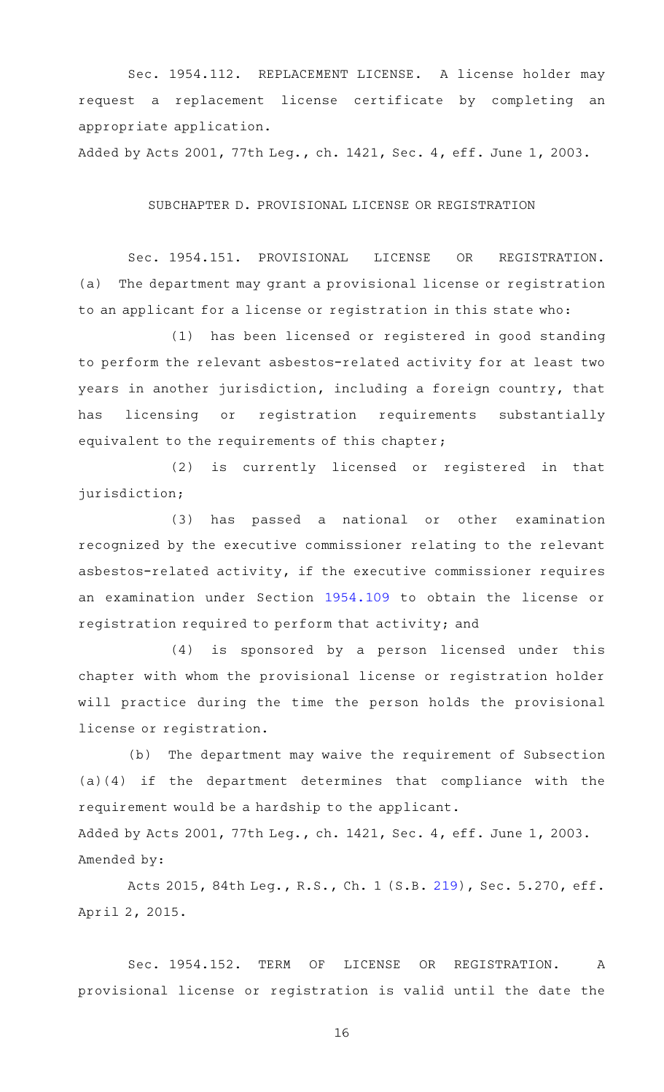Sec. 1954.112. REPLACEMENT LICENSE. A license holder may request a replacement license certificate by completing an appropriate application.

Added by Acts 2001, 77th Leg., ch. 1421, Sec. 4, eff. June 1, 2003.

## SUBCHAPTER D. PROVISIONAL LICENSE OR REGISTRATION

Sec. 1954.151. PROVISIONAL LICENSE OR REGISTRATION. (a) The department may grant a provisional license or registration to an applicant for a license or registration in this state who:

(1) has been licensed or registered in good standing to perform the relevant asbestos-related activity for at least two years in another jurisdiction, including a foreign country, that has licensing or registration requirements substantially equivalent to the requirements of this chapter;

(2) is currently licensed or registered in that jurisdiction;

(3) has passed a national or other examination recognized by the executive commissioner relating to the relevant asbestos-related activity, if the executive commissioner requires an examination under Section [1954.109](http://www.statutes.legis.state.tx.us/GetStatute.aspx?Code=OC&Value=1954.109) to obtain the license or registration required to perform that activity; and

 $(4)$  is sponsored by a person licensed under this chapter with whom the provisional license or registration holder will practice during the time the person holds the provisional license or registration.

(b) The department may waive the requirement of Subsection (a)(4) if the department determines that compliance with the requirement would be a hardship to the applicant.

Added by Acts 2001, 77th Leg., ch. 1421, Sec. 4, eff. June 1, 2003. Amended by:

Acts 2015, 84th Leg., R.S., Ch. 1 (S.B. [219](http://www.legis.state.tx.us/tlodocs/84R/billtext/html/SB00219F.HTM)), Sec. 5.270, eff. April 2, 2015.

Sec. 1954.152. TERM OF LICENSE OR REGISTRATION. A provisional license or registration is valid until the date the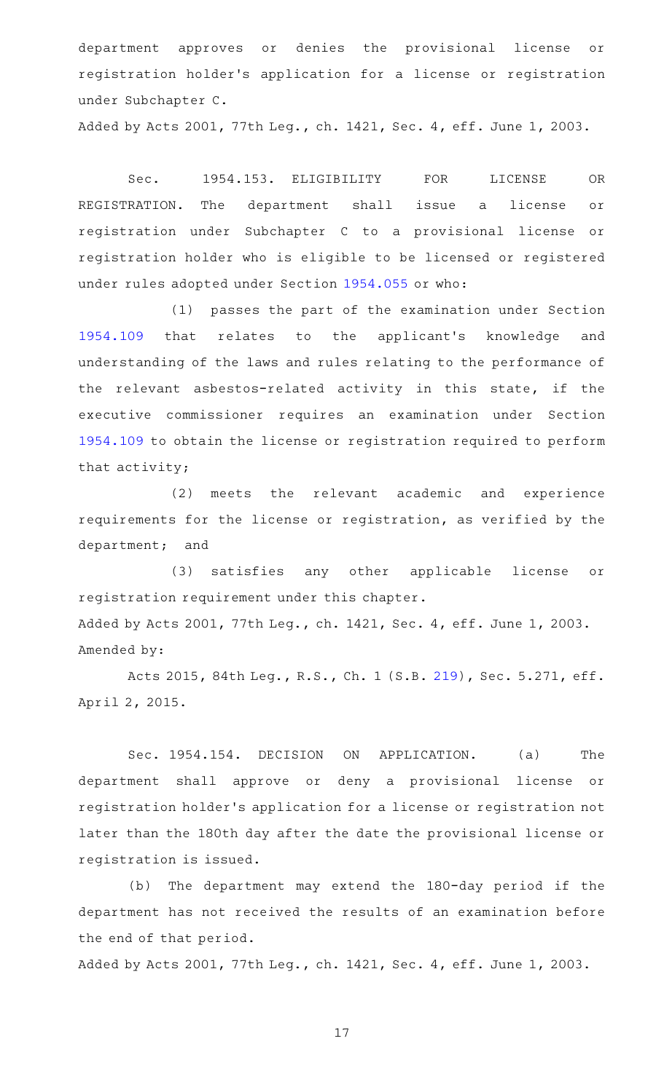department approves or denies the provisional license or registration holder 's application for a license or registration under Subchapter C.

Added by Acts 2001, 77th Leg., ch. 1421, Sec. 4, eff. June 1, 2003.

Sec. 1954.153. ELIGIBILITY FOR LICENSE OR REGISTRATION. The department shall issue a license or registration under Subchapter C to a provisional license or registration holder who is eligible to be licensed or registered under rules adopted under Section [1954.055](http://www.statutes.legis.state.tx.us/GetStatute.aspx?Code=OC&Value=1954.055) or who:

(1) passes the part of the examination under Section [1954.109](http://www.statutes.legis.state.tx.us/GetStatute.aspx?Code=OC&Value=1954.109) that relates to the applicant 's knowledge and understanding of the laws and rules relating to the performance of the relevant asbestos-related activity in this state, if the executive commissioner requires an examination under Section [1954.109](http://www.statutes.legis.state.tx.us/GetStatute.aspx?Code=OC&Value=1954.109) to obtain the license or registration required to perform that activity;

(2) meets the relevant academic and experience requirements for the license or registration, as verified by the department; and

(3) satisfies any other applicable license or registration requirement under this chapter. Added by Acts 2001, 77th Leg., ch. 1421, Sec. 4, eff. June 1, 2003. Amended by:

Acts 2015, 84th Leg., R.S., Ch. 1 (S.B. [219](http://www.legis.state.tx.us/tlodocs/84R/billtext/html/SB00219F.HTM)), Sec. 5.271, eff. April 2, 2015.

Sec. 1954.154. DECISION ON APPLICATION. (a) The department shall approve or deny a provisional license or registration holder 's application for a license or registration not later than the 180th day after the date the provisional license or registration is issued.

(b) The department may extend the 180-day period if the department has not received the results of an examination before the end of that period.

Added by Acts 2001, 77th Leg., ch. 1421, Sec. 4, eff. June 1, 2003.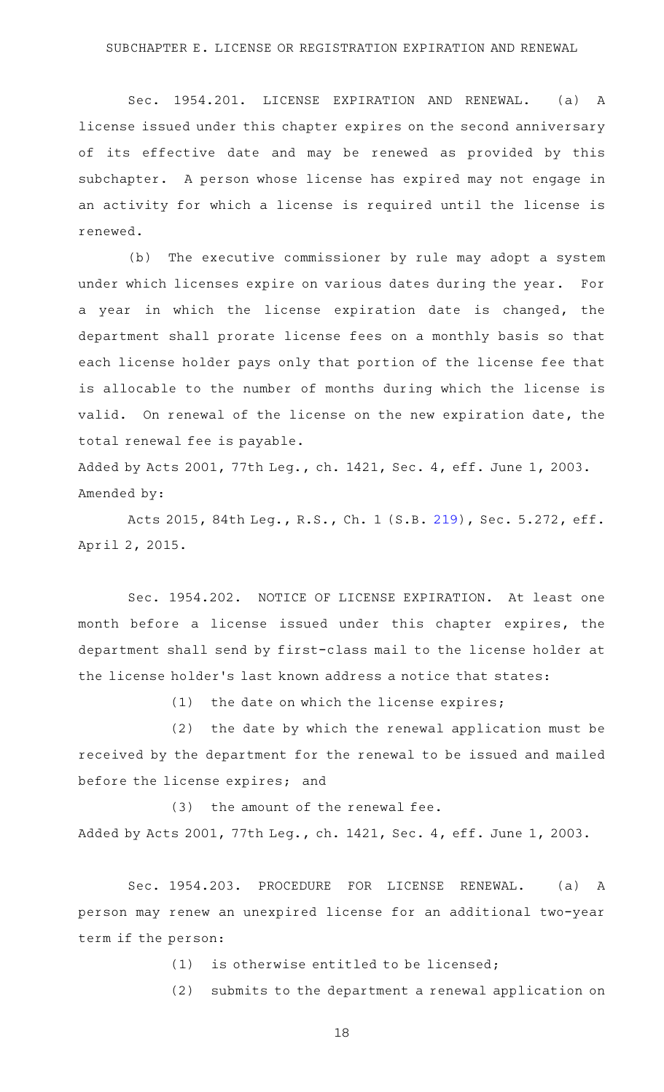Sec. 1954.201. LICENSE EXPIRATION AND RENEWAL. (a) A license issued under this chapter expires on the second anniversary of its effective date and may be renewed as provided by this subchapter. A person whose license has expired may not engage in an activity for which a license is required until the license is renewed.

(b) The executive commissioner by rule may adopt a system under which licenses expire on various dates during the year. For a year in which the license expiration date is changed, the department shall prorate license fees on a monthly basis so that each license holder pays only that portion of the license fee that is allocable to the number of months during which the license is valid. On renewal of the license on the new expiration date, the total renewal fee is payable.

Added by Acts 2001, 77th Leg., ch. 1421, Sec. 4, eff. June 1, 2003. Amended by:

Acts 2015, 84th Leg., R.S., Ch. 1 (S.B. [219](http://www.legis.state.tx.us/tlodocs/84R/billtext/html/SB00219F.HTM)), Sec. 5.272, eff. April 2, 2015.

Sec. 1954.202. NOTICE OF LICENSE EXPIRATION. At least one month before a license issued under this chapter expires, the department shall send by first-class mail to the license holder at the license holder 's last known address a notice that states:

 $(1)$  the date on which the license expires;

 $(2)$  the date by which the renewal application must be received by the department for the renewal to be issued and mailed before the license expires; and

 $(3)$  the amount of the renewal fee. Added by Acts 2001, 77th Leg., ch. 1421, Sec. 4, eff. June 1, 2003.

Sec. 1954.203. PROCEDURE FOR LICENSE RENEWAL. (a) A person may renew an unexpired license for an additional two-year term if the person:

 $(1)$  is otherwise entitled to be licensed;

(2) submits to the department a renewal application on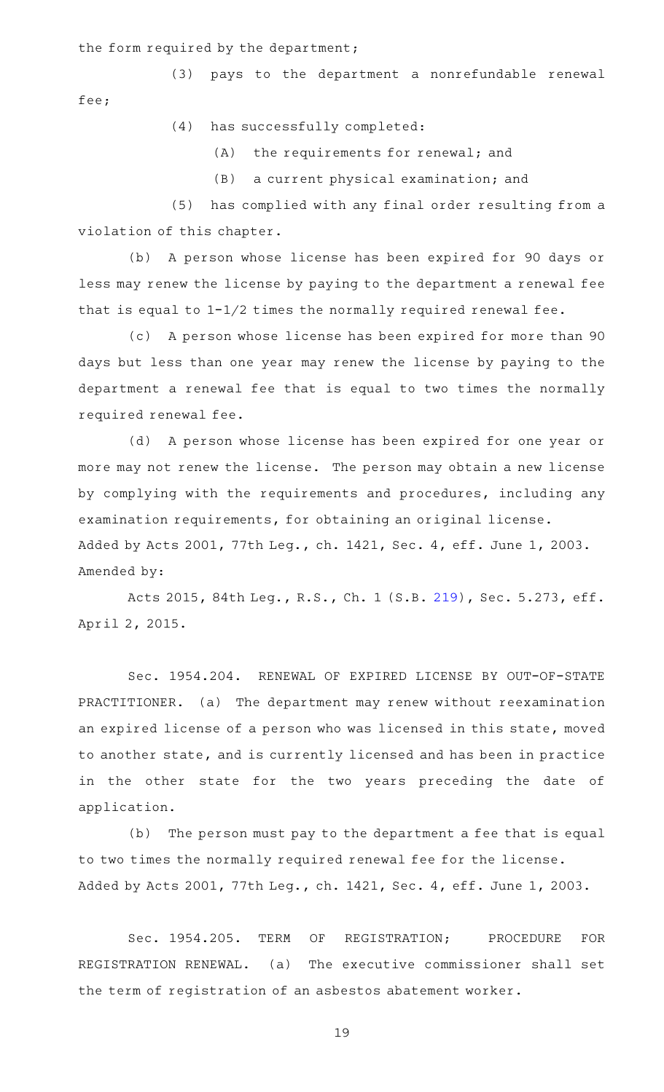the form required by the department;

(3) pays to the department a nonrefundable renewal fee;

(4) has successfully completed:

 $(A)$  the requirements for renewal; and

(B) a current physical examination; and

(5) has complied with any final order resulting from a violation of this chapter.

(b) A person whose license has been expired for 90 days or less may renew the license by paying to the department a renewal fee that is equal to 1-1/2 times the normally required renewal fee.

(c) A person whose license has been expired for more than 90 days but less than one year may renew the license by paying to the department a renewal fee that is equal to two times the normally required renewal fee.

(d) A person whose license has been expired for one year or more may not renew the license. The person may obtain a new license by complying with the requirements and procedures, including any examination requirements, for obtaining an original license. Added by Acts 2001, 77th Leg., ch. 1421, Sec. 4, eff. June 1, 2003. Amended by:

Acts 2015, 84th Leg., R.S., Ch. 1 (S.B. [219](http://www.legis.state.tx.us/tlodocs/84R/billtext/html/SB00219F.HTM)), Sec. 5.273, eff. April 2, 2015.

Sec. 1954.204. RENEWAL OF EXPIRED LICENSE BY OUT-OF-STATE PRACTITIONER. (a) The department may renew without reexamination an expired license of a person who was licensed in this state, moved to another state, and is currently licensed and has been in practice in the other state for the two years preceding the date of application.

(b) The person must pay to the department a fee that is equal to two times the normally required renewal fee for the license. Added by Acts 2001, 77th Leg., ch. 1421, Sec. 4, eff. June 1, 2003.

Sec. 1954.205. TERM OF REGISTRATION; PROCEDURE FOR REGISTRATION RENEWAL. (a) The executive commissioner shall set the term of registration of an asbestos abatement worker.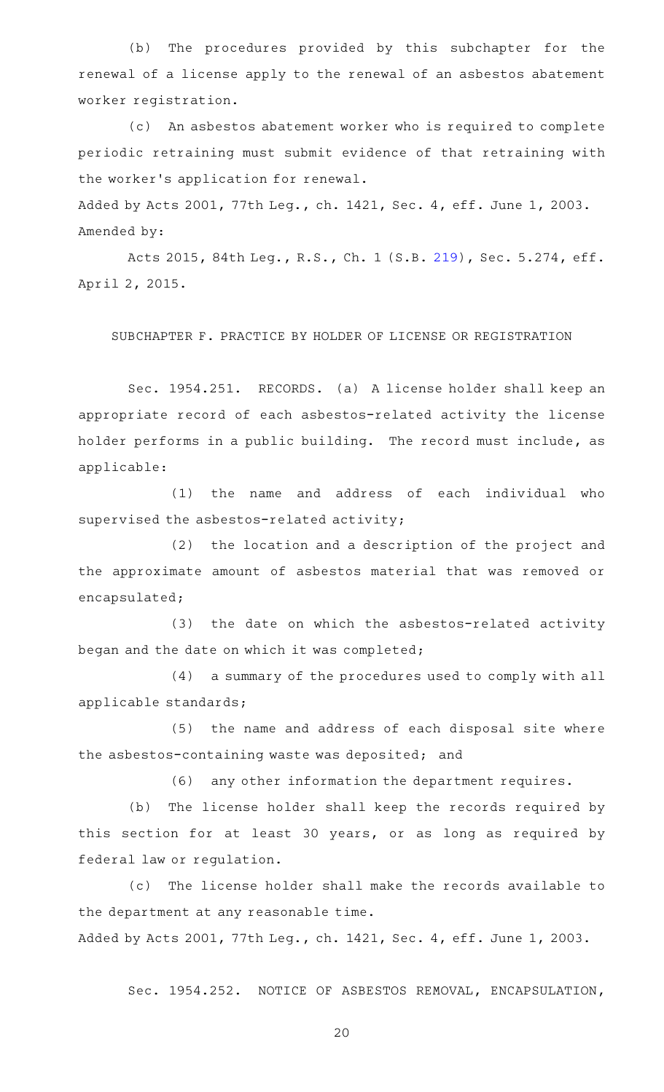(b) The procedures provided by this subchapter for the renewal of a license apply to the renewal of an asbestos abatement worker registration.

(c) An asbestos abatement worker who is required to complete periodic retraining must submit evidence of that retraining with the worker 's application for renewal.

Added by Acts 2001, 77th Leg., ch. 1421, Sec. 4, eff. June 1, 2003. Amended by:

Acts 2015, 84th Leg., R.S., Ch. 1 (S.B. [219](http://www.legis.state.tx.us/tlodocs/84R/billtext/html/SB00219F.HTM)), Sec. 5.274, eff. April 2, 2015.

SUBCHAPTER F. PRACTICE BY HOLDER OF LICENSE OR REGISTRATION

Sec. 1954.251. RECORDS. (a) A license holder shall keep an appropriate record of each asbestos-related activity the license holder performs in a public building. The record must include, as applicable:

(1) the name and address of each individual who supervised the asbestos-related activity;

 $(2)$  the location and a description of the project and the approximate amount of asbestos material that was removed or encapsulated;

(3) the date on which the asbestos-related activity began and the date on which it was completed;

(4) a summary of the procedures used to comply with all applicable standards;

(5) the name and address of each disposal site where the asbestos-containing waste was deposited; and

(6) any other information the department requires.

(b) The license holder shall keep the records required by this section for at least 30 years, or as long as required by federal law or regulation.

(c) The license holder shall make the records available to the department at any reasonable time. Added by Acts 2001, 77th Leg., ch. 1421, Sec. 4, eff. June 1, 2003.

Sec. 1954.252. NOTICE OF ASBESTOS REMOVAL, ENCAPSULATION,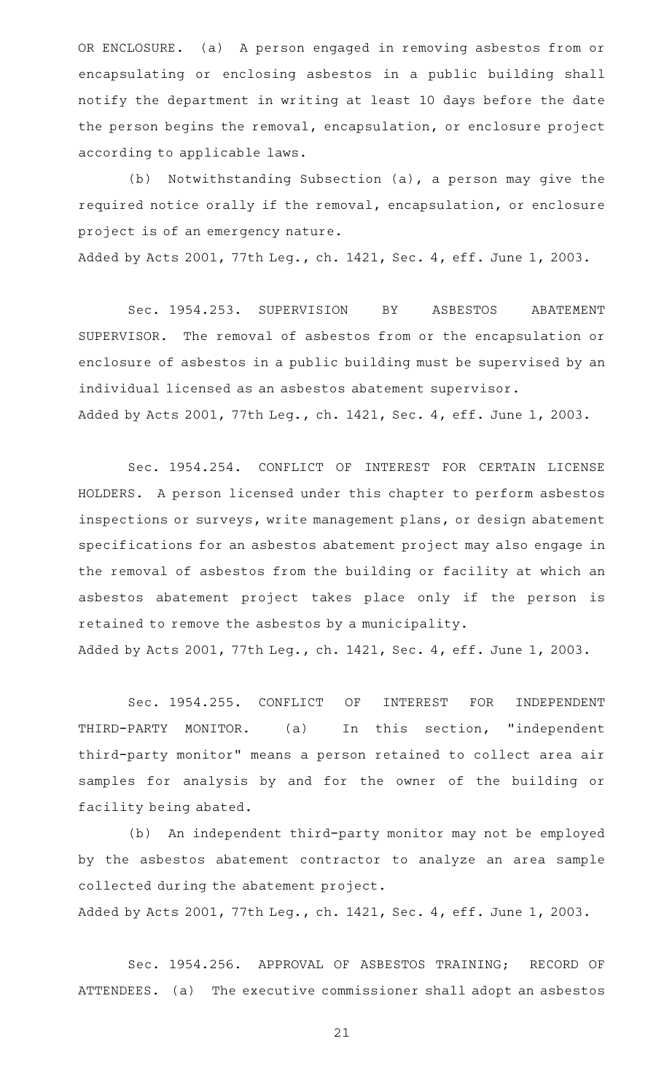OR ENCLOSURE. (a) A person engaged in removing asbestos from or encapsulating or enclosing asbestos in a public building shall notify the department in writing at least 10 days before the date the person begins the removal, encapsulation, or enclosure project according to applicable laws.

(b) Notwithstanding Subsection (a), a person may give the required notice orally if the removal, encapsulation, or enclosure project is of an emergency nature.

Added by Acts 2001, 77th Leg., ch. 1421, Sec. 4, eff. June 1, 2003.

Sec. 1954.253. SUPERVISION BY ASBESTOS ABATEMENT SUPERVISOR. The removal of asbestos from or the encapsulation or enclosure of asbestos in a public building must be supervised by an individual licensed as an asbestos abatement supervisor. Added by Acts 2001, 77th Leg., ch. 1421, Sec. 4, eff. June 1, 2003.

Sec. 1954.254. CONFLICT OF INTEREST FOR CERTAIN LICENSE HOLDERS. A person licensed under this chapter to perform asbestos inspections or surveys, write management plans, or design abatement specifications for an asbestos abatement project may also engage in the removal of asbestos from the building or facility at which an asbestos abatement project takes place only if the person is retained to remove the asbestos by a municipality. Added by Acts 2001, 77th Leg., ch. 1421, Sec. 4, eff. June 1, 2003.

Sec. 1954.255. CONFLICT OF INTEREST FOR INDEPENDENT THIRD-PARTY MONITOR. (a) In this section, "independent third-party monitor" means a person retained to collect area air samples for analysis by and for the owner of the building or facility being abated.

(b) An independent third-party monitor may not be employed by the asbestos abatement contractor to analyze an area sample collected during the abatement project.

Added by Acts 2001, 77th Leg., ch. 1421, Sec. 4, eff. June 1, 2003.

Sec. 1954.256. APPROVAL OF ASBESTOS TRAINING; RECORD OF ATTENDEES. (a) The executive commissioner shall adopt an asbestos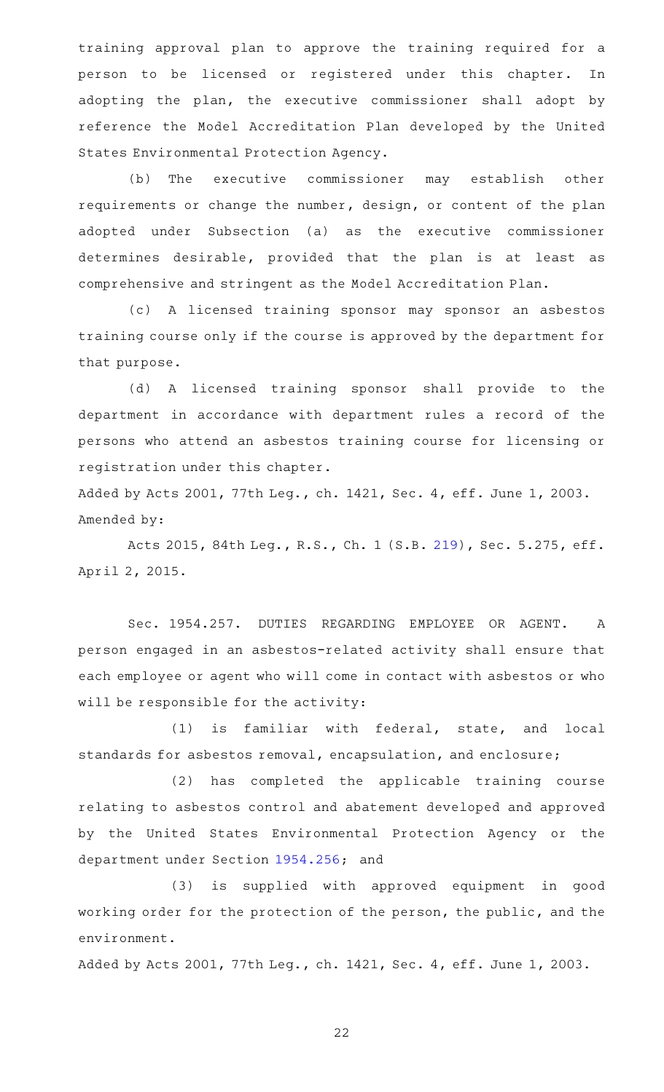training approval plan to approve the training required for a person to be licensed or registered under this chapter. In adopting the plan, the executive commissioner shall adopt by reference the Model Accreditation Plan developed by the United States Environmental Protection Agency.

(b) The executive commissioner may establish other requirements or change the number, design, or content of the plan adopted under Subsection (a) as the executive commissioner determines desirable, provided that the plan is at least as comprehensive and stringent as the Model Accreditation Plan.

(c)AAA licensed training sponsor may sponsor an asbestos training course only if the course is approved by the department for that purpose.

(d) A licensed training sponsor shall provide to the department in accordance with department rules a record of the persons who attend an asbestos training course for licensing or registration under this chapter.

Added by Acts 2001, 77th Leg., ch. 1421, Sec. 4, eff. June 1, 2003. Amended by:

Acts 2015, 84th Leg., R.S., Ch. 1 (S.B. [219](http://www.legis.state.tx.us/tlodocs/84R/billtext/html/SB00219F.HTM)), Sec. 5.275, eff. April 2, 2015.

Sec. 1954.257. DUTIES REGARDING EMPLOYEE OR AGENT. A person engaged in an asbestos-related activity shall ensure that each employee or agent who will come in contact with asbestos or who will be responsible for the activity:

(1) is familiar with federal, state, and local standards for asbestos removal, encapsulation, and enclosure;

(2) has completed the applicable training course relating to asbestos control and abatement developed and approved by the United States Environmental Protection Agency or the department under Section [1954.256;](http://www.statutes.legis.state.tx.us/GetStatute.aspx?Code=OC&Value=1954.256) and

(3) is supplied with approved equipment in good working order for the protection of the person, the public, and the environment.

Added by Acts 2001, 77th Leg., ch. 1421, Sec. 4, eff. June 1, 2003.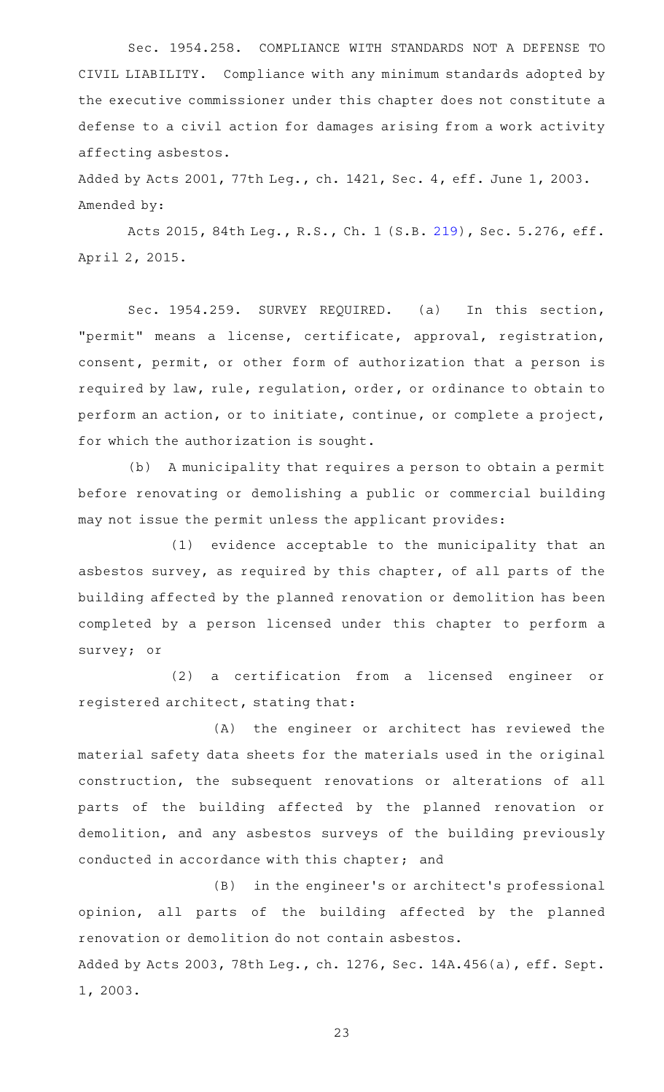Sec. 1954.258. COMPLIANCE WITH STANDARDS NOT A DEFENSE TO CIVIL LIABILITY. Compliance with any minimum standards adopted by the executive commissioner under this chapter does not constitute a defense to a civil action for damages arising from a work activity affecting asbestos.

Added by Acts 2001, 77th Leg., ch. 1421, Sec. 4, eff. June 1, 2003. Amended by:

Acts 2015, 84th Leg., R.S., Ch. 1 (S.B. [219](http://www.legis.state.tx.us/tlodocs/84R/billtext/html/SB00219F.HTM)), Sec. 5.276, eff. April 2, 2015.

Sec. 1954.259. SURVEY REQUIRED. (a) In this section, "permit" means a license, certificate, approval, registration, consent, permit, or other form of authorization that a person is required by law, rule, regulation, order, or ordinance to obtain to perform an action, or to initiate, continue, or complete a project, for which the authorization is sought.

(b) A municipality that requires a person to obtain a permit before renovating or demolishing a public or commercial building may not issue the permit unless the applicant provides:

(1) evidence acceptable to the municipality that an asbestos survey, as required by this chapter, of all parts of the building affected by the planned renovation or demolition has been completed by a person licensed under this chapter to perform a survey; or

(2) a certification from a licensed engineer or registered architect, stating that:

(A) the engineer or architect has reviewed the material safety data sheets for the materials used in the original construction, the subsequent renovations or alterations of all parts of the building affected by the planned renovation or demolition, and any asbestos surveys of the building previously conducted in accordance with this chapter; and

(B) in the engineer's or architect's professional opinion, all parts of the building affected by the planned renovation or demolition do not contain asbestos. Added by Acts 2003, 78th Leg., ch. 1276, Sec. 14A.456(a), eff. Sept. 1, 2003.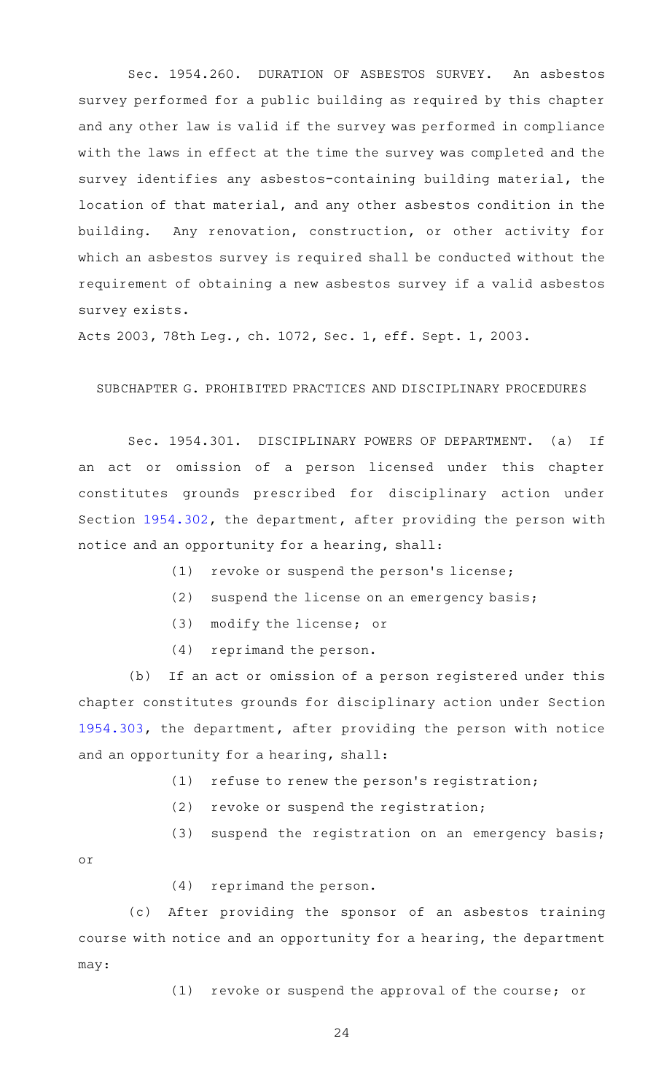Sec. 1954.260. DURATION OF ASBESTOS SURVEY. An asbestos survey performed for a public building as required by this chapter and any other law is valid if the survey was performed in compliance with the laws in effect at the time the survey was completed and the survey identifies any asbestos-containing building material, the location of that material, and any other asbestos condition in the building. Any renovation, construction, or other activity for which an asbestos survey is required shall be conducted without the requirement of obtaining a new asbestos survey if a valid asbestos survey exists.

Acts 2003, 78th Leg., ch. 1072, Sec. 1, eff. Sept. 1, 2003.

#### SUBCHAPTER G. PROHIBITED PRACTICES AND DISCIPLINARY PROCEDURES

Sec. 1954.301. DISCIPLINARY POWERS OF DEPARTMENT. (a) If an act or omission of a person licensed under this chapter constitutes grounds prescribed for disciplinary action under Section [1954.302](http://www.statutes.legis.state.tx.us/GetStatute.aspx?Code=OC&Value=1954.302), the department, after providing the person with notice and an opportunity for a hearing, shall:

- (1) revoke or suspend the person's license;
- (2) suspend the license on an emergency basis;
- (3) modify the license; or
- (4) reprimand the person.

(b) If an act or omission of a person registered under this chapter constitutes grounds for disciplinary action under Section [1954.303](http://www.statutes.legis.state.tx.us/GetStatute.aspx?Code=OC&Value=1954.303), the department, after providing the person with notice and an opportunity for a hearing, shall:

- $(1)$  refuse to renew the person's registration;
- $(2)$  revoke or suspend the registration;
- $(3)$  suspend the registration on an emergency basis;

or

 $(4)$  reprimand the person.

(c) After providing the sponsor of an asbestos training course with notice and an opportunity for a hearing, the department may:

 $(1)$  revoke or suspend the approval of the course; or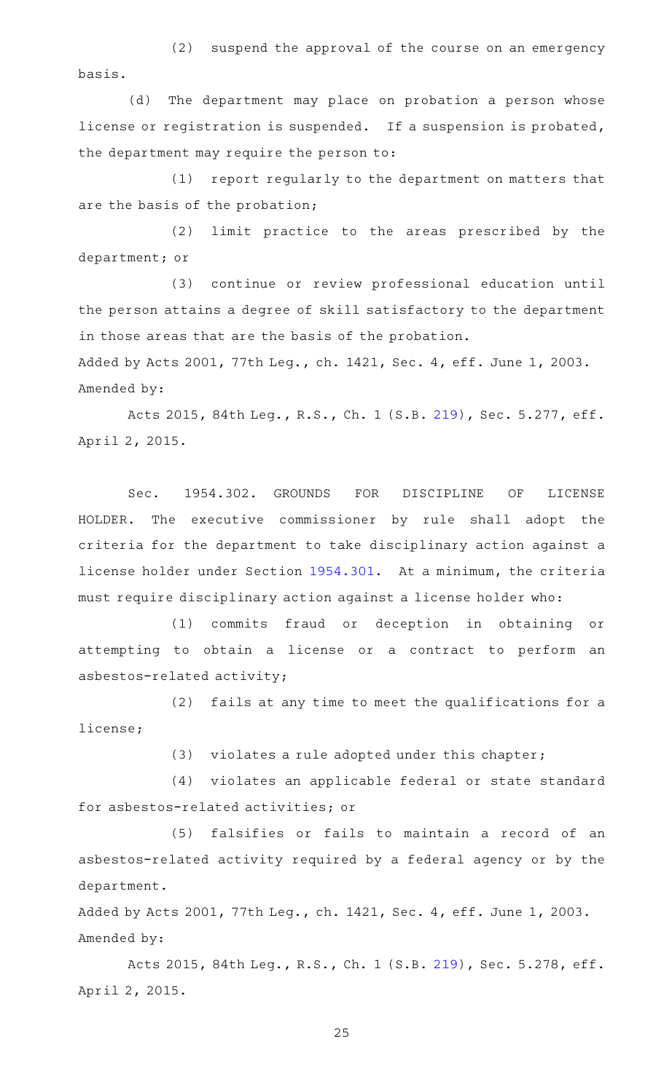(2) suspend the approval of the course on an emergency basis.

(d) The department may place on probation a person whose license or registration is suspended. If a suspension is probated, the department may require the person to:

 $(1)$  report regularly to the department on matters that are the basis of the probation;

(2) limit practice to the areas prescribed by the department; or

(3) continue or review professional education until the person attains a degree of skill satisfactory to the department in those areas that are the basis of the probation.

Added by Acts 2001, 77th Leg., ch. 1421, Sec. 4, eff. June 1, 2003. Amended by:

Acts 2015, 84th Leg., R.S., Ch. 1 (S.B. [219](http://www.legis.state.tx.us/tlodocs/84R/billtext/html/SB00219F.HTM)), Sec. 5.277, eff. April 2, 2015.

Sec. 1954.302. GROUNDS FOR DISCIPLINE OF LICENSE HOLDER. The executive commissioner by rule shall adopt the criteria for the department to take disciplinary action against a license holder under Section [1954.301](http://www.statutes.legis.state.tx.us/GetStatute.aspx?Code=OC&Value=1954.301). At a minimum, the criteria must require disciplinary action against a license holder who:

(1) commits fraud or deception in obtaining or attempting to obtain a license or a contract to perform an asbestos-related activity;

(2) fails at any time to meet the qualifications for a license;

 $(3)$  violates a rule adopted under this chapter;

(4) violates an applicable federal or state standard for asbestos-related activities; or

(5) falsifies or fails to maintain a record of an asbestos-related activity required by a federal agency or by the department.

Added by Acts 2001, 77th Leg., ch. 1421, Sec. 4, eff. June 1, 2003. Amended by:

Acts 2015, 84th Leg., R.S., Ch. 1 (S.B. [219](http://www.legis.state.tx.us/tlodocs/84R/billtext/html/SB00219F.HTM)), Sec. 5.278, eff. April 2, 2015.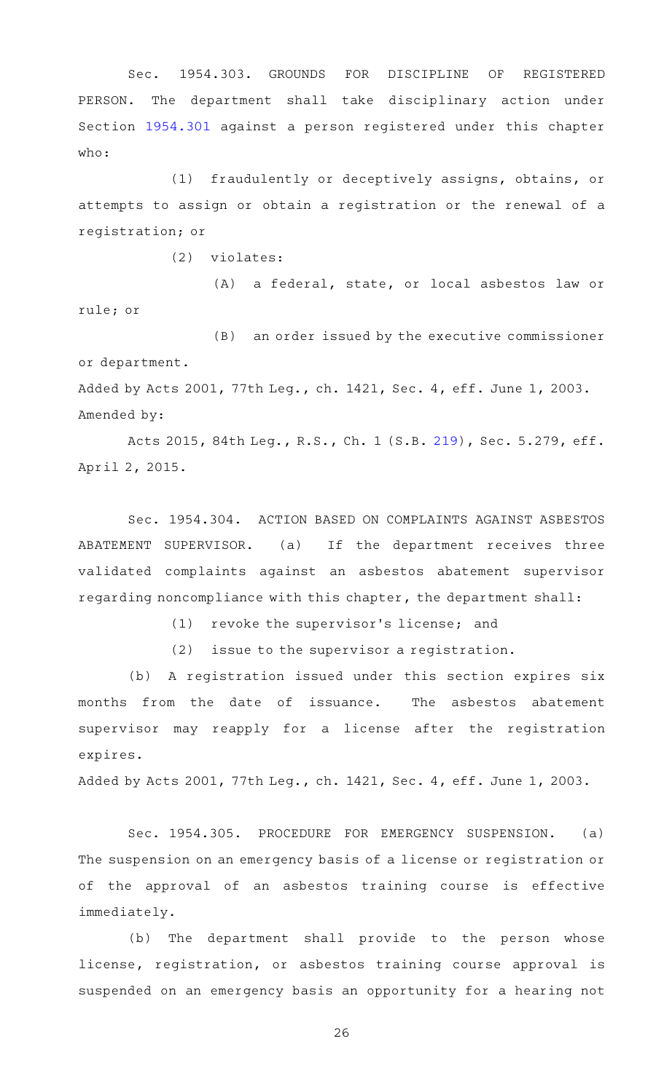Sec. 1954.303. GROUNDS FOR DISCIPLINE OF REGISTERED PERSON. The department shall take disciplinary action under Section [1954.301](http://www.statutes.legis.state.tx.us/GetStatute.aspx?Code=OC&Value=1954.301) against a person registered under this chapter who:

(1) fraudulently or deceptively assigns, obtains, or attempts to assign or obtain a registration or the renewal of a registration; or

 $(2)$  violates:

(A) a federal, state, or local asbestos law or rule; or

(B) an order issued by the executive commissioner or department. Added by Acts 2001, 77th Leg., ch. 1421, Sec. 4, eff. June 1, 2003.

```
Amended by:
```
Acts 2015, 84th Leg., R.S., Ch. 1 (S.B. [219](http://www.legis.state.tx.us/tlodocs/84R/billtext/html/SB00219F.HTM)), Sec. 5.279, eff. April 2, 2015.

Sec. 1954.304. ACTION BASED ON COMPLAINTS AGAINST ASBESTOS ABATEMENT SUPERVISOR. (a) If the department receives three validated complaints against an asbestos abatement supervisor regarding noncompliance with this chapter, the department shall:

(1) revoke the supervisor's license; and

 $(2)$  issue to the supervisor a registration.

(b) A registration issued under this section expires six months from the date of issuance. The asbestos abatement supervisor may reapply for a license after the registration expires.

Added by Acts 2001, 77th Leg., ch. 1421, Sec. 4, eff. June 1, 2003.

Sec. 1954.305. PROCEDURE FOR EMERGENCY SUSPENSION. (a) The suspension on an emergency basis of a license or registration or of the approval of an asbestos training course is effective immediately.

(b) The department shall provide to the person whose license, registration, or asbestos training course approval is suspended on an emergency basis an opportunity for a hearing not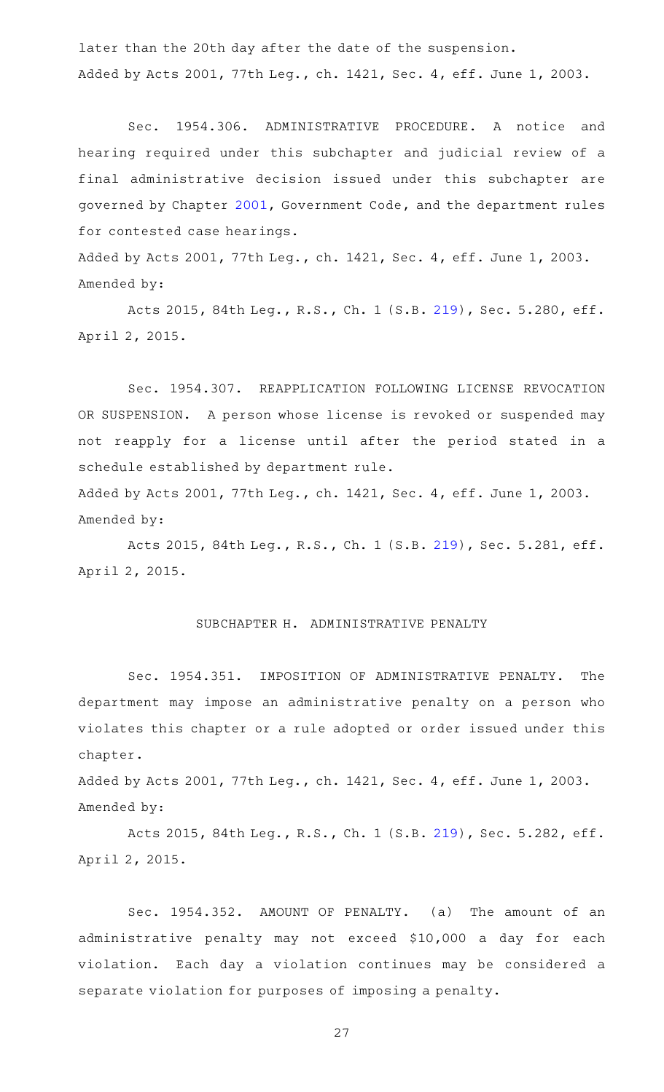later than the 20th day after the date of the suspension. Added by Acts 2001, 77th Leg., ch. 1421, Sec. 4, eff. June 1, 2003.

Sec. 1954.306. ADMINISTRATIVE PROCEDURE. A notice and hearing required under this subchapter and judicial review of a final administrative decision issued under this subchapter are governed by Chapter [2001,](http://www.statutes.legis.state.tx.us/GetStatute.aspx?Code=GV&Value=2001) Government Code, and the department rules for contested case hearings.

Added by Acts 2001, 77th Leg., ch. 1421, Sec. 4, eff. June 1, 2003. Amended by:

Acts 2015, 84th Leg., R.S., Ch. 1 (S.B. [219](http://www.legis.state.tx.us/tlodocs/84R/billtext/html/SB00219F.HTM)), Sec. 5.280, eff. April 2, 2015.

Sec. 1954.307. REAPPLICATION FOLLOWING LICENSE REVOCATION OR SUSPENSION. A person whose license is revoked or suspended may not reapply for a license until after the period stated in a schedule established by department rule.

Added by Acts 2001, 77th Leg., ch. 1421, Sec. 4, eff. June 1, 2003. Amended by:

Acts 2015, 84th Leg., R.S., Ch. 1 (S.B. [219](http://www.legis.state.tx.us/tlodocs/84R/billtext/html/SB00219F.HTM)), Sec. 5.281, eff. April 2, 2015.

## SUBCHAPTER H. ADMINISTRATIVE PENALTY

Sec. 1954.351. IMPOSITION OF ADMINISTRATIVE PENALTY. The department may impose an administrative penalty on a person who violates this chapter or a rule adopted or order issued under this chapter.

Added by Acts 2001, 77th Leg., ch. 1421, Sec. 4, eff. June 1, 2003. Amended by:

Acts 2015, 84th Leg., R.S., Ch. 1 (S.B. [219](http://www.legis.state.tx.us/tlodocs/84R/billtext/html/SB00219F.HTM)), Sec. 5.282, eff. April 2, 2015.

Sec. 1954.352. AMOUNT OF PENALTY. (a) The amount of an administrative penalty may not exceed \$10,000 a day for each violation. Each day a violation continues may be considered a separate violation for purposes of imposing a penalty.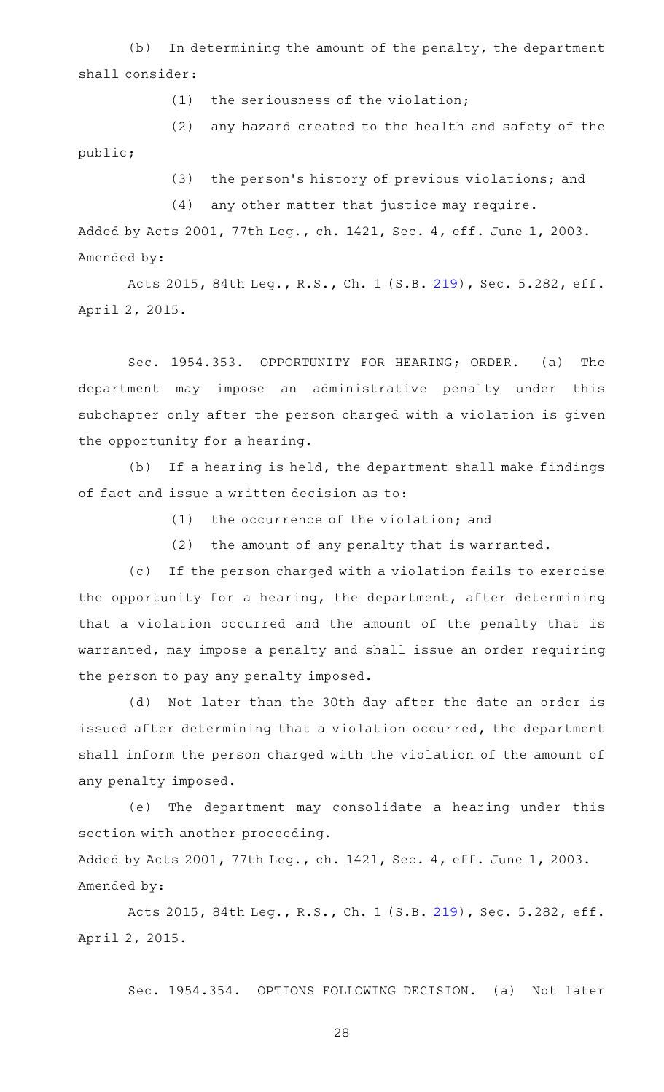$(b)$  In determining the amount of the penalty, the department shall consider:

 $(1)$  the seriousness of the violation;

(2) any hazard created to the health and safety of the

public;

(3) the person's history of previous violations; and

 $(4)$  any other matter that justice may require.

Added by Acts 2001, 77th Leg., ch. 1421, Sec. 4, eff. June 1, 2003. Amended by:

Acts 2015, 84th Leg., R.S., Ch. 1 (S.B. [219](http://www.legis.state.tx.us/tlodocs/84R/billtext/html/SB00219F.HTM)), Sec. 5.282, eff. April 2, 2015.

Sec. 1954.353. OPPORTUNITY FOR HEARING; ORDER. (a) The department may impose an administrative penalty under this subchapter only after the person charged with a violation is given the opportunity for a hearing.

(b) If a hearing is held, the department shall make findings of fact and issue a written decision as to:

 $(1)$  the occurrence of the violation; and

(2) the amount of any penalty that is warranted.

(c) If the person charged with a violation fails to exercise the opportunity for a hearing, the department, after determining that a violation occurred and the amount of the penalty that is warranted, may impose a penalty and shall issue an order requiring the person to pay any penalty imposed.

(d) Not later than the 30th day after the date an order is issued after determining that a violation occurred, the department shall inform the person charged with the violation of the amount of any penalty imposed.

(e) The department may consolidate a hearing under this section with another proceeding.

Added by Acts 2001, 77th Leg., ch. 1421, Sec. 4, eff. June 1, 2003. Amended by:

Acts 2015, 84th Leg., R.S., Ch. 1 (S.B. [219](http://www.legis.state.tx.us/tlodocs/84R/billtext/html/SB00219F.HTM)), Sec. 5.282, eff. April 2, 2015.

Sec. 1954.354. OPTIONS FOLLOWING DECISION. (a) Not later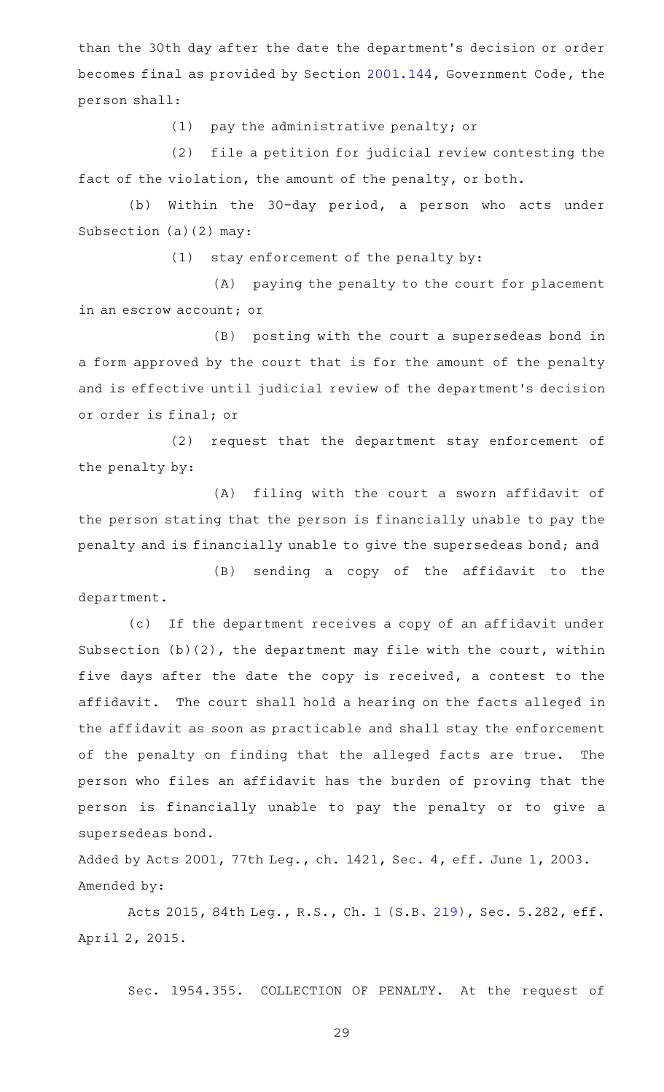than the 30th day after the date the department 's decision or order becomes final as provided by Section [2001.144](http://www.statutes.legis.state.tx.us/GetStatute.aspx?Code=GV&Value=2001.144), Government Code, the person shall:

 $(1)$  pay the administrative penalty; or

(2) file a petition for judicial review contesting the fact of the violation, the amount of the penalty, or both.

(b) Within the 30-day period, a person who acts under Subsection (a)(2) may:

 $(1)$  stay enforcement of the penalty by:

(A) paying the penalty to the court for placement in an escrow account; or

(B) posting with the court a supersedeas bond in a form approved by the court that is for the amount of the penalty and is effective until judicial review of the department 's decision or order is final; or

(2) request that the department stay enforcement of the penalty by:

(A) filing with the court a sworn affidavit of the person stating that the person is financially unable to pay the penalty and is financially unable to give the supersedeas bond; and

(B) sending a copy of the affidavit to the department.

(c) If the department receives a copy of an affidavit under Subsection (b)(2), the department may file with the court, within five days after the date the copy is received, a contest to the affidavit. The court shall hold a hearing on the facts alleged in the affidavit as soon as practicable and shall stay the enforcement of the penalty on finding that the alleged facts are true. The person who files an affidavit has the burden of proving that the person is financially unable to pay the penalty or to give a supersedeas bond.

Added by Acts 2001, 77th Leg., ch. 1421, Sec. 4, eff. June 1, 2003. Amended by:

Acts 2015, 84th Leg., R.S., Ch. 1 (S.B. [219](http://www.legis.state.tx.us/tlodocs/84R/billtext/html/SB00219F.HTM)), Sec. 5.282, eff. April 2, 2015.

Sec. 1954.355. COLLECTION OF PENALTY. At the request of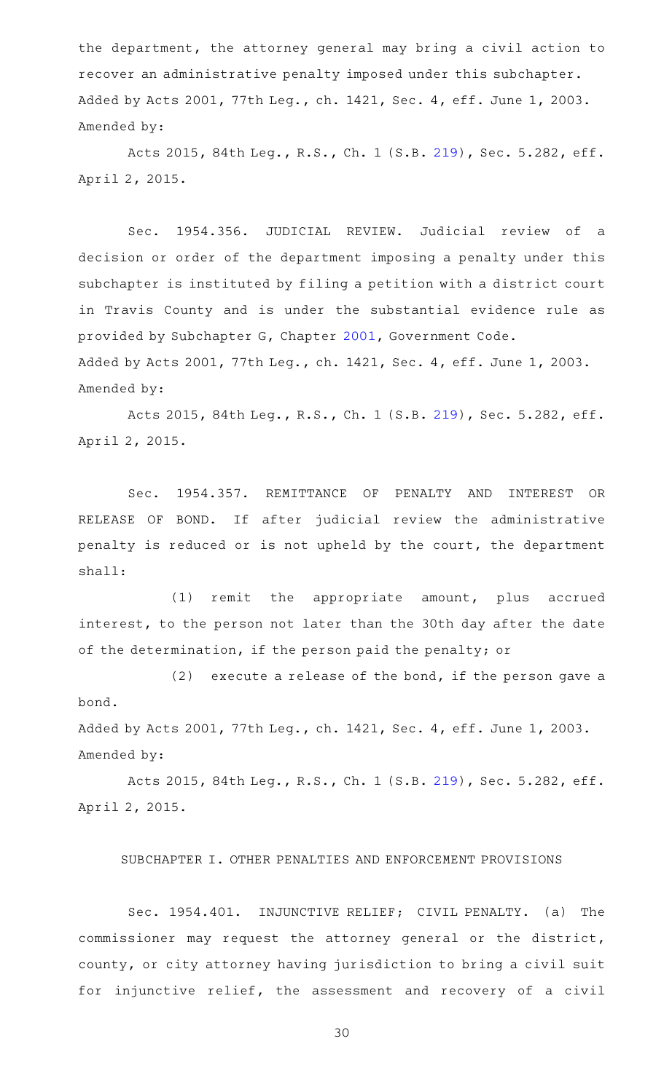the department, the attorney general may bring a civil action to recover an administrative penalty imposed under this subchapter. Added by Acts 2001, 77th Leg., ch. 1421, Sec. 4, eff. June 1, 2003. Amended by:

Acts 2015, 84th Leg., R.S., Ch. 1 (S.B. [219](http://www.legis.state.tx.us/tlodocs/84R/billtext/html/SB00219F.HTM)), Sec. 5.282, eff. April 2, 2015.

Sec. 1954.356. JUDICIAL REVIEW. Judicial review of a decision or order of the department imposing a penalty under this subchapter is instituted by filing a petition with a district court in Travis County and is under the substantial evidence rule as provided by Subchapter G, Chapter [2001](http://www.statutes.legis.state.tx.us/GetStatute.aspx?Code=GV&Value=2001), Government Code. Added by Acts 2001, 77th Leg., ch. 1421, Sec. 4, eff. June 1, 2003. Amended by:

Acts 2015, 84th Leg., R.S., Ch. 1 (S.B. [219](http://www.legis.state.tx.us/tlodocs/84R/billtext/html/SB00219F.HTM)), Sec. 5.282, eff. April 2, 2015.

Sec. 1954.357. REMITTANCE OF PENALTY AND INTEREST OR RELEASE OF BOND. If after judicial review the administrative penalty is reduced or is not upheld by the court, the department shall:

(1) remit the appropriate amount, plus accrued interest, to the person not later than the 30th day after the date of the determination, if the person paid the penalty; or

 $(2)$  execute a release of the bond, if the person gave a bond.

Added by Acts 2001, 77th Leg., ch. 1421, Sec. 4, eff. June 1, 2003. Amended by:

Acts 2015, 84th Leg., R.S., Ch. 1 (S.B. [219](http://www.legis.state.tx.us/tlodocs/84R/billtext/html/SB00219F.HTM)), Sec. 5.282, eff. April 2, 2015.

SUBCHAPTER I. OTHER PENALTIES AND ENFORCEMENT PROVISIONS

Sec. 1954.401. INJUNCTIVE RELIEF; CIVIL PENALTY. (a) The commissioner may request the attorney general or the district, county, or city attorney having jurisdiction to bring a civil suit for injunctive relief, the assessment and recovery of a civil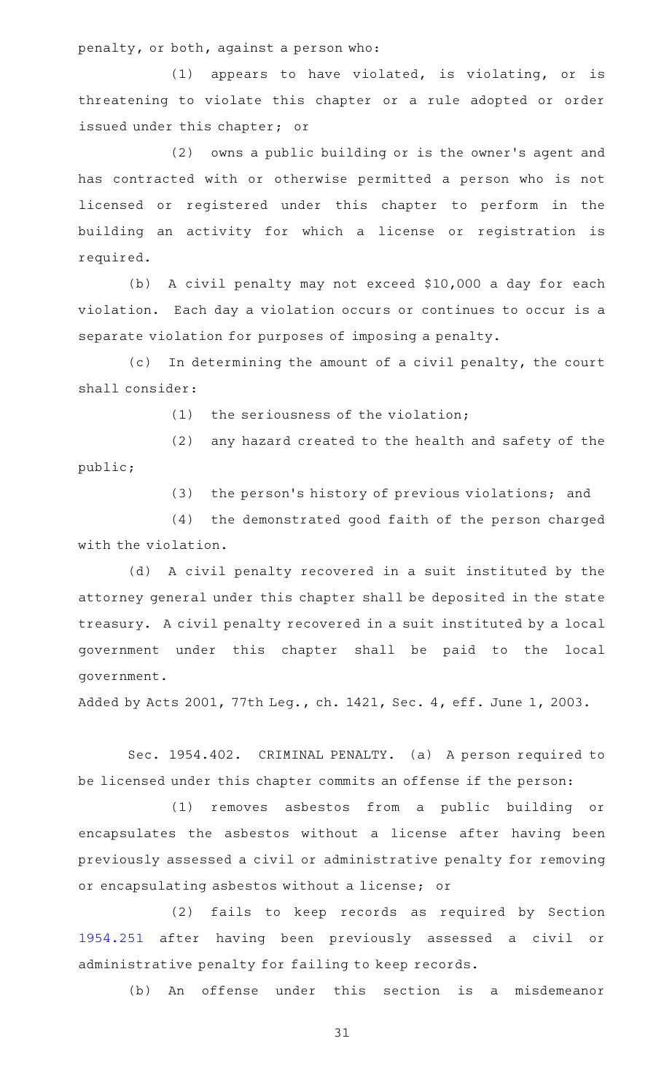penalty, or both, against a person who:

 $(1)$  appears to have violated, is violating, or is threatening to violate this chapter or a rule adopted or order issued under this chapter; or

(2) owns a public building or is the owner's agent and has contracted with or otherwise permitted a person who is not licensed or registered under this chapter to perform in the building an activity for which a license or registration is required.

(b) A civil penalty may not exceed \$10,000 a day for each violation. Each day a violation occurs or continues to occur is a separate violation for purposes of imposing a penalty.

(c) In determining the amount of a civil penalty, the court shall consider:

 $(1)$  the seriousness of the violation;

(2) any hazard created to the health and safety of the public;

(3) the person's history of previous violations; and

(4) the demonstrated good faith of the person charged with the violation.

(d) A civil penalty recovered in a suit instituted by the attorney general under this chapter shall be deposited in the state treasury. A civil penalty recovered in a suit instituted by a local government under this chapter shall be paid to the local government.

Added by Acts 2001, 77th Leg., ch. 1421, Sec. 4, eff. June 1, 2003.

Sec. 1954.402. CRIMINAL PENALTY. (a) A person required to be licensed under this chapter commits an offense if the person:

(1) removes asbestos from a public building or encapsulates the asbestos without a license after having been previously assessed a civil or administrative penalty for removing or encapsulating asbestos without a license; or

(2) fails to keep records as required by Section [1954.251](http://www.statutes.legis.state.tx.us/GetStatute.aspx?Code=OC&Value=1954.251) after having been previously assessed a civil or administrative penalty for failing to keep records.

(b) An offense under this section is a misdemeanor